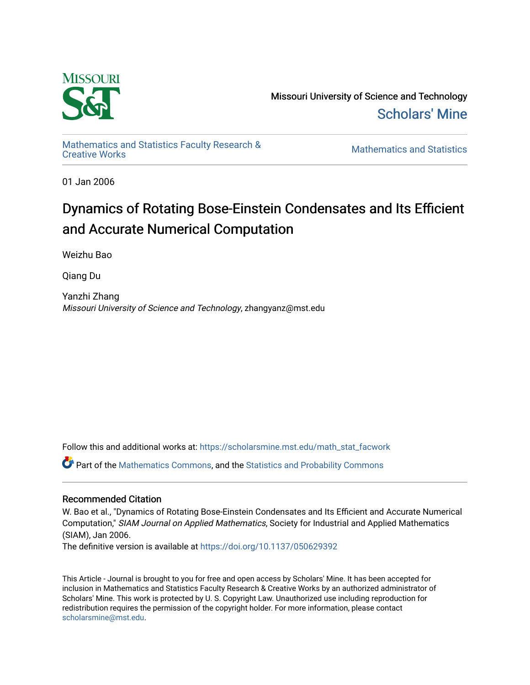

Missouri University of Science and Technology [Scholars' Mine](https://scholarsmine.mst.edu/) 

[Mathematics and Statistics Faculty Research &](https://scholarsmine.mst.edu/math_stat_facwork) 

**Mathematics and Statistics** 

01 Jan 2006

# Dynamics of Rotating Bose-Einstein Condensates and Its Efficient and Accurate Numerical Computation

Weizhu Bao

Qiang Du

Yanzhi Zhang Missouri University of Science and Technology, zhangyanz@mst.edu

Follow this and additional works at: [https://scholarsmine.mst.edu/math\\_stat\\_facwork](https://scholarsmine.mst.edu/math_stat_facwork?utm_source=scholarsmine.mst.edu%2Fmath_stat_facwork%2F155&utm_medium=PDF&utm_campaign=PDFCoverPages)

Part of the [Mathematics Commons](http://network.bepress.com/hgg/discipline/174?utm_source=scholarsmine.mst.edu%2Fmath_stat_facwork%2F155&utm_medium=PDF&utm_campaign=PDFCoverPages), and the [Statistics and Probability Commons](http://network.bepress.com/hgg/discipline/208?utm_source=scholarsmine.mst.edu%2Fmath_stat_facwork%2F155&utm_medium=PDF&utm_campaign=PDFCoverPages)

## Recommended Citation

W. Bao et al., "Dynamics of Rotating Bose-Einstein Condensates and Its Efficient and Accurate Numerical Computation," SIAM Journal on Applied Mathematics, Society for Industrial and Applied Mathematics (SIAM), Jan 2006.

The definitive version is available at <https://doi.org/10.1137/050629392>

This Article - Journal is brought to you for free and open access by Scholars' Mine. It has been accepted for inclusion in Mathematics and Statistics Faculty Research & Creative Works by an authorized administrator of Scholars' Mine. This work is protected by U. S. Copyright Law. Unauthorized use including reproduction for redistribution requires the permission of the copyright holder. For more information, please contact [scholarsmine@mst.edu.](mailto:scholarsmine@mst.edu)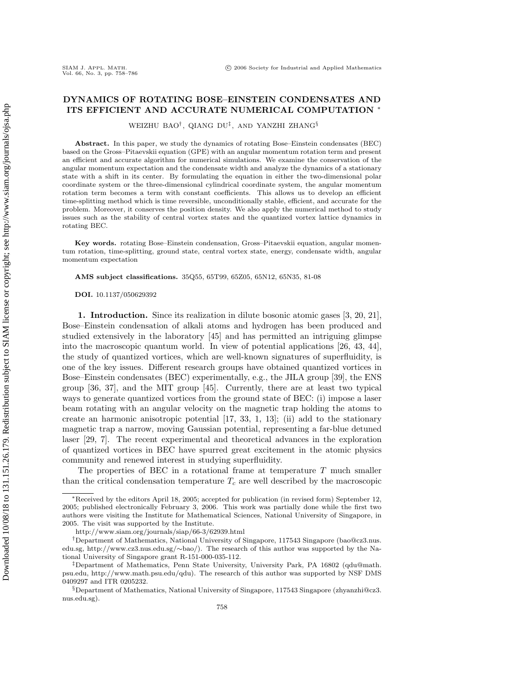### **DYNAMICS OF ROTATING BOSE–EINSTEIN CONDENSATES AND ITS EFFICIENT AND ACCURATE NUMERICAL COMPUTATION** ∗

WEIZHU BAO†, QIANG DU‡, AND YANZHI ZHANG§

**Abstract.** In this paper, we study the dynamics of rotating Bose–Einstein condensates (BEC) based on the Gross–Pitaevskii equation (GPE) with an angular momentum rotation term and present an efficient and accurate algorithm for numerical simulations. We examine the conservation of the angular momentum expectation and the condensate width and analyze the dynamics of a stationary state with a shift in its center. By formulating the equation in either the two-dimensional polar coordinate system or the three-dimensional cylindrical coordinate system, the angular momentum rotation term becomes a term with constant coefficients. This allows us to develop an efficient time-splitting method which is time reversible, unconditionally stable, efficient, and accurate for the problem. Moreover, it conserves the position density. We also apply the numerical method to study issues such as the stability of central vortex states and the quantized vortex lattice dynamics in rotating BEC.

**Key words.** rotating Bose–Einstein condensation, Gross–Pitaevskii equation, angular momentum rotation, time-splitting, ground state, central vortex state, energy, condensate width, angular momentum expectation

**AMS subject classifications.** 35Q55, 65T99, 65Z05, 65N12, 65N35, 81-08

**DOI.** 10.1137/050629392

**1. Introduction.** Since its realization in dilute bosonic atomic gases [3, 20, 21], Bose–Einstein condensation of alkali atoms and hydrogen has been produced and studied extensively in the laboratory [45] and has permitted an intriguing glimpse into the macroscopic quantum world. In view of potential applications [26, 43, 44], the study of quantized vortices, which are well-known signatures of superfluidity, is one of the key issues. Different research groups have obtained quantized vortices in Bose–Einstein condensates (BEC) experimentally, e.g., the JILA group [39], the ENS group [36, 37], and the MIT group [45]. Currently, there are at least two typical ways to generate quantized vortices from the ground state of BEC: (i) impose a laser beam rotating with an angular velocity on the magnetic trap holding the atoms to create an harmonic anisotropic potential [17, 33, 1, 13]; (ii) add to the stationary magnetic trap a narrow, moving Gaussian potential, representing a far-blue detuned laser [29, 7]. The recent experimental and theoretical advances in the exploration of quantized vortices in BEC have spurred great excitement in the atomic physics community and renewed interest in studying superfluidity.

The properties of BEC in a rotational frame at temperature T much smaller than the critical condensation temperature  $T_c$  are well described by the macroscopic

<sup>∗</sup>Received by the editors April 18, 2005; accepted for publication (in revised form) September 12, 2005; published electronically February 3, 2006. This work was partially done while the first two authors were visiting the Institute for Mathematical Sciences, National University of Singapore, in 2005. The visit was supported by the Institute.

http://www.siam.org/journals/siap/66-3/62939.html

<sup>†</sup>Department of Mathematics, National University of Singapore, 117543 Singapore (bao@cz3.nus. edu.sg, http://www.cz3.nus.edu.sg/∼bao/). The research of this author was supported by the National University of Singapore grant R-151-000-035-112.

<sup>‡</sup>Department of Mathematics, Penn State University, University Park, PA 16802 (qdu@math. psu.edu, http://www.math.psu.edu/qdu). The research of this author was supported by NSF DMS 0409297 and ITR 0205232.

<sup>§</sup>Department of Mathematics, National University of Singapore, 117543 Singapore (zhyanzhi@cz3. nus.edu.sg).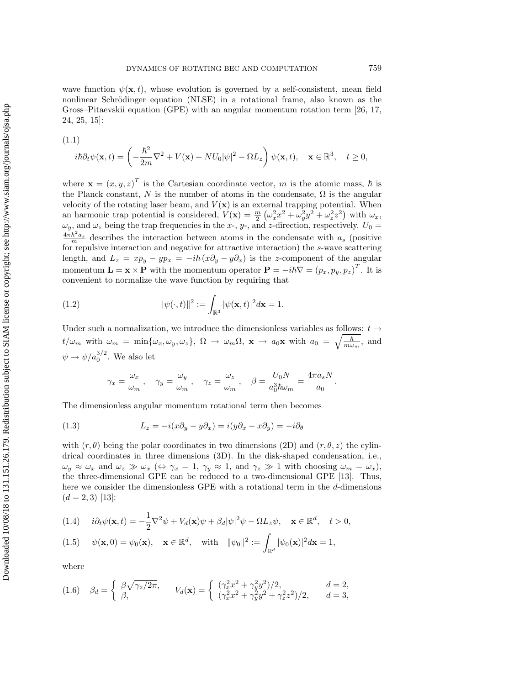wave function  $\psi(\mathbf{x},t)$ , whose evolution is governed by a self-consistent, mean field nonlinear Schrödinger equation (NLSE) in a rotational frame, also known as the Gross–Pitaevskii equation (GPE) with an angular momentum rotation term [26, 17, 24, 25, 15]:

$$
(1.1)
$$

$$
i\hbar\partial_t\psi(\mathbf{x},t) = \left(-\frac{\hbar^2}{2m}\nabla^2 + V(\mathbf{x}) + NU_0|\psi|^2 - \Omega L_z\right)\psi(\mathbf{x},t), \quad \mathbf{x} \in \mathbb{R}^3, \quad t \ge 0,
$$

where  $\mathbf{x} = (x, y, z)^T$  is the Cartesian coordinate vector, m is the atomic mass, h is the Planck constant, N is the number of atoms in the condensate,  $\Omega$  is the angular velocity of the rotating laser beam, and  $V(\mathbf{x})$  is an external trapping potential. When an harmonic trap potential is considered,  $V(\mathbf{x}) = \frac{m}{2} \left( \omega_x^2 x^2 + \omega_y^2 y^2 + \omega_z^2 z^2 \right)$  with  $\omega_x$ ,  $\omega_y$ , and  $\omega_z$  being the trap frequencies in the x-, y-, and z-direction, respectively.  $U_0 =$  $\frac{4\pi\hbar^2 a_s}{m}$  describes the interaction between atoms in the condensate with  $a_s$  (positive for repulsive interaction and negative for attractive interaction) the s-wave scattering length, and  $L_z = xp_y - yp_x = -i\hbar(x\partial_y - y\partial_x)$  is the z-component of the angular momentum  $\mathbf{L} = \mathbf{x} \times \mathbf{P}$  with the momentum operator  $\mathbf{P} = -i\hbar \nabla = (p_x, p_y, p_z)^T$ . It is convenient to normalize the wave function by requiring that

(1.2) 
$$
\|\psi(\cdot,t)\|^2 := \int_{\mathbb{R}^3} |\psi(\mathbf{x},t)|^2 d\mathbf{x} = 1.
$$

Under such a normalization, we introduce the dimensionless variables as follows:  $t\to$  $t/\omega_m$  with  $\omega_m = \min{\{\omega_x, \omega_y, \omega_z\}}$ ,  $\Omega \to \omega_m \Omega$ ,  $\mathbf{x} \to a_0 \mathbf{x}$  with  $a_0 = \sqrt{\frac{\hbar}{m \omega_m}}$ , and  $\psi \rightarrow \psi/a_0^{3/2}$ . We also let

$$
\gamma_x = \frac{\omega_x}{\omega_m}
$$
,  $\gamma_y = \frac{\omega_y}{\omega_m}$ ,  $\gamma_z = \frac{\omega_z}{\omega_m}$ ,  $\beta = \frac{U_0 N}{a_0^3 \hbar \omega_m} = \frac{4\pi a_s N}{a_0}$ .

The dimensionless angular momentum rotational term then becomes

(1.3) 
$$
L_z = -i(x\partial_y - y\partial_x) = i(y\partial_x - x\partial_y) = -i\partial_\theta
$$

with  $(r, \theta)$  being the polar coordinates in two dimensions (2D) and  $(r, \theta, z)$  the cylindrical coordinates in three dimensions (3D). In the disk-shaped condensation, i.e.,  $\omega_y \approx \omega_x$  and  $\omega_z \gg \omega_x \ (\Leftrightarrow \ \gamma_x = 1, \ \gamma_y \approx 1, \text{ and } \ \gamma_z \gg 1 \text{ with choosing } \omega_m = \omega_x),$ the three-dimensional GPE can be reduced to a two-dimensional GPE [13]. Thus, here we consider the dimensionless GPE with a rotational term in the d-dimensions  $(d = 2, 3)$  [13]:

(1.4) 
$$
i\partial_t \psi(\mathbf{x},t) = -\frac{1}{2}\nabla^2 \psi + V_d(\mathbf{x})\psi + \beta_d |\psi|^2 \psi - \Omega L_z \psi, \quad \mathbf{x} \in \mathbb{R}^d, \quad t > 0,
$$

(1.5) 
$$
\psi(\mathbf{x},0) = \psi_0(\mathbf{x}), \quad \mathbf{x} \in \mathbb{R}^d, \quad \text{with} \quad ||\psi_0||^2 := \int_{\mathbb{R}^d} |\psi_0(\mathbf{x})|^2 d\mathbf{x} = 1,
$$

where

$$
(1.6) \quad \beta_d = \begin{cases} \beta \sqrt{\gamma_z/2\pi}, & V_d(\mathbf{x}) = \begin{cases} (\gamma_x^2 x^2 + \gamma_y^2 y^2)/2, & d = 2, \\ (\gamma_x^2 x^2 + \gamma_y^2 y^2 + \gamma_z^2 z^2)/2, & d = 3, \end{cases} \end{cases}
$$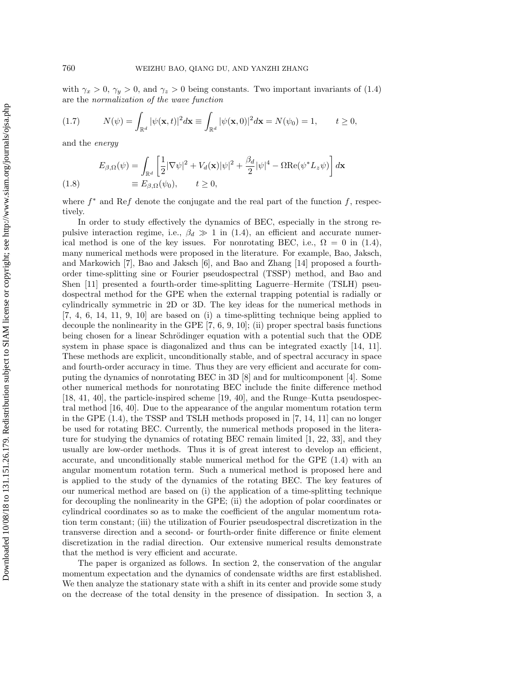with  $\gamma_x > 0$ ,  $\gamma_y > 0$ , and  $\gamma_z > 0$  being constants. Two important invariants of (1.4) are the normalization of the wave function

$$
(1.7) \t N(\psi) = \int_{\mathbb{R}^d} |\psi(\mathbf{x}, t)|^2 d\mathbf{x} \equiv \int_{\mathbb{R}^d} |\psi(\mathbf{x}, 0)|^2 d\mathbf{x} = N(\psi_0) = 1, \t t \ge 0,
$$

and the energy

$$
E_{\beta,\Omega}(\psi) = \int_{\mathbb{R}^d} \left[ \frac{1}{2} |\nabla \psi|^2 + V_d(\mathbf{x}) |\psi|^2 + \frac{\beta_d}{2} |\psi|^4 - \Omega \text{Re}(\psi^* L_z \psi) \right] d\mathbf{x}
$$
  
(1.8) 
$$
\equiv E_{\beta,\Omega}(\psi_0), \qquad t \ge 0,
$$

where  $f^*$  and Ref denote the conjugate and the real part of the function f, respectively.

In order to study effectively the dynamics of BEC, especially in the strong repulsive interaction regime, i.e.,  $\beta_d \gg 1$  in (1.4), an efficient and accurate numerical method is one of the key issues. For nonrotating BEC, i.e.,  $\Omega = 0$  in (1.4), many numerical methods were proposed in the literature. For example, Bao, Jaksch, and Markowich [7], Bao and Jaksch [6], and Bao and Zhang [14] proposed a fourthorder time-splitting sine or Fourier pseudospectral (TSSP) method, and Bao and Shen [11] presented a fourth-order time-splitting Laguerre–Hermite (TSLH) pseudospectral method for the GPE when the external trapping potential is radially or cylindrically symmetric in 2D or 3D. The key ideas for the numerical methods in [7, 4, 6, 14, 11, 9, 10] are based on (i) a time-splitting technique being applied to decouple the nonlinearity in the GPE [7, 6, 9, 10]; (ii) proper spectral basis functions being chosen for a linear Schrödinger equation with a potential such that the ODE system in phase space is diagonalized and thus can be integrated exactly [14, 11]. These methods are explicit, unconditionally stable, and of spectral accuracy in space and fourth-order accuracy in time. Thus they are very efficient and accurate for computing the dynamics of nonrotating BEC in 3D [8] and for multicomponent [4]. Some other numerical methods for nonrotating BEC include the finite difference method [18, 41, 40], the particle-inspired scheme [19, 40], and the Runge–Kutta pseudospectral method [16, 40]. Due to the appearance of the angular momentum rotation term in the GPE (1.4), the TSSP and TSLH methods proposed in [7, 14, 11] can no longer be used for rotating BEC. Currently, the numerical methods proposed in the literature for studying the dynamics of rotating BEC remain limited [1, 22, 33], and they usually are low-order methods. Thus it is of great interest to develop an efficient, accurate, and unconditionally stable numerical method for the GPE (1.4) with an angular momentum rotation term. Such a numerical method is proposed here and is applied to the study of the dynamics of the rotating BEC. The key features of our numerical method are based on (i) the application of a time-splitting technique for decoupling the nonlinearity in the GPE; (ii) the adoption of polar coordinates or cylindrical coordinates so as to make the coefficient of the angular momentum rotation term constant; (iii) the utilization of Fourier pseudospectral discretization in the transverse direction and a second- or fourth-order finite difference or finite element discretization in the radial direction. Our extensive numerical results demonstrate that the method is very efficient and accurate.

The paper is organized as follows. In section 2, the conservation of the angular momentum expectation and the dynamics of condensate widths are first established. We then analyze the stationary state with a shift in its center and provide some study on the decrease of the total density in the presence of dissipation. In section 3, a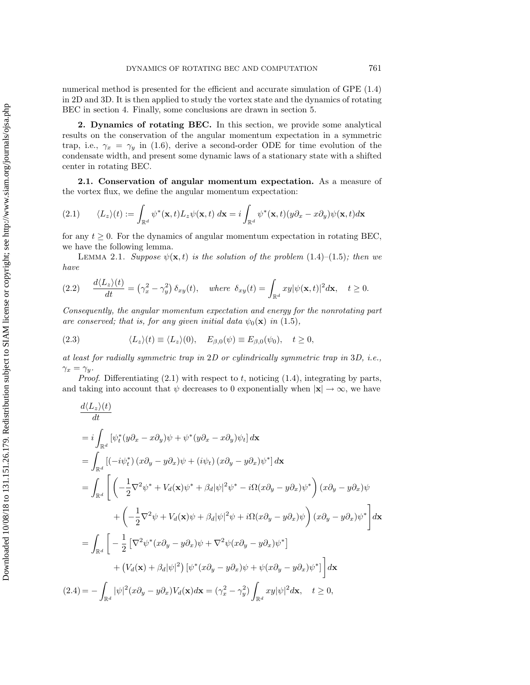numerical method is presented for the efficient and accurate simulation of GPE (1.4) in 2D and 3D. It is then applied to study the vortex state and the dynamics of rotating BEC in section 4. Finally, some conclusions are drawn in section 5.

**2. Dynamics of rotating BEC.** In this section, we provide some analytical results on the conservation of the angular momentum expectation in a symmetric trap, i.e.,  $\gamma_x = \gamma_y$  in (1.6), derive a second-order ODE for time evolution of the condensate width, and present some dynamic laws of a stationary state with a shifted center in rotating BEC.

**2.1. Conservation of angular momentum expectation.** As a measure of the vortex flux, we define the angular momentum expectation:

$$
(2.1) \qquad \langle L_z \rangle(t) := \int_{\mathbb{R}^d} \psi^*(\mathbf{x}, t) L_z \psi(\mathbf{x}, t) \, d\mathbf{x} = i \int_{\mathbb{R}^d} \psi^*(\mathbf{x}, t) (y \partial_x - x \partial_y) \psi(\mathbf{x}, t) d\mathbf{x}
$$

for any  $t \geq 0$ . For the dynamics of angular momentum expectation in rotating BEC, we have the following lemma.

LEMMA 2.1. Suppose  $\psi(\mathbf{x},t)$  is the solution of the problem (1.4)–(1.5); then we have

$$
(2.2) \quad \frac{d\langle L_z\rangle(t)}{dt} = \left(\gamma_x^2 - \gamma_y^2\right)\delta_{xy}(t), \quad \text{where } \delta_{xy}(t) = \int_{\mathbb{R}^d} xy|\psi(\mathbf{x},t)|^2 d\mathbf{x}, \quad t \ge 0.
$$

Consequently, the angular momentum expectation and energy for the nonrotating part are conserved; that is, for any given initial data  $\psi_0(\mathbf{x})$  in (1.5),

(2.3) 
$$
\langle L_z \rangle(t) \equiv \langle L_z \rangle(0), \quad E_{\beta,0}(\psi) \equiv E_{\beta,0}(\psi_0), \quad t \ge 0,
$$

at least for radially symmetric trap in 2D or cylindrically symmetric trap in 3D, i.e.,  $\gamma_x = \gamma_y$ .

*Proof.* Differentiating  $(2.1)$  with respect to t, noticing  $(1.4)$ , integrating by parts, and taking into account that  $\psi$  decreases to 0 exponentially when  $|\mathbf{x}| \to \infty$ , we have

$$
\frac{d\langle L_z \rangle(t)}{dt}
$$
\n
$$
= i \int_{\mathbb{R}^d} \left[ \psi_t^*(y\partial_x - x\partial_y)\psi + \psi^*(y\partial_x - x\partial_y)\psi_t \right] d\mathbf{x}
$$
\n
$$
= \int_{\mathbb{R}^d} \left[ (-i\psi_t^*) (x\partial_y - y\partial_x)\psi + (i\psi_t) (x\partial_y - y\partial_x)\psi^* \right] d\mathbf{x}
$$
\n
$$
= \int_{\mathbb{R}^d} \left[ \left( -\frac{1}{2} \nabla^2 \psi^* + V_d(\mathbf{x})\psi^* + \beta_d |\psi|^2 \psi^* - i\Omega (x\partial_y - y\partial_x)\psi^* \right) (x\partial_y - y\partial_x)\psi + \left( -\frac{1}{2} \nabla^2 \psi + V_d(\mathbf{x})\psi + \beta_d |\psi|^2 \psi + i\Omega (x\partial_y - y\partial_x)\psi \right) (x\partial_y - y\partial_x)\psi^* \right] d\mathbf{x}
$$
\n
$$
= \int_{\mathbb{R}^d} \left[ -\frac{1}{2} \left[ \nabla^2 \psi^*(x\partial_y - y\partial_x)\psi + \nabla^2 \psi (x\partial_y - y\partial_x)\psi^* \right] + (V_d(\mathbf{x}) + \beta_d |\psi|^2) \left[ \psi^*(x\partial_y - y\partial_x)\psi + \psi (x\partial_y - y\partial_x)\psi^* \right] \right] d\mathbf{x}
$$
\n
$$
(2.4) = - \int_{\mathbb{R}^d} |\psi|^2 (x\partial_y - y\partial_x)V_d(\mathbf{x}) d\mathbf{x} = (\gamma_x^2 - \gamma_y^2) \int_{\mathbb{R}^d} xy |\psi|^2 d\mathbf{x}, \quad t \ge 0,
$$

 $\mathbf{1} \mathbf{1}$   $\mathbf{1} \mathbf{1}$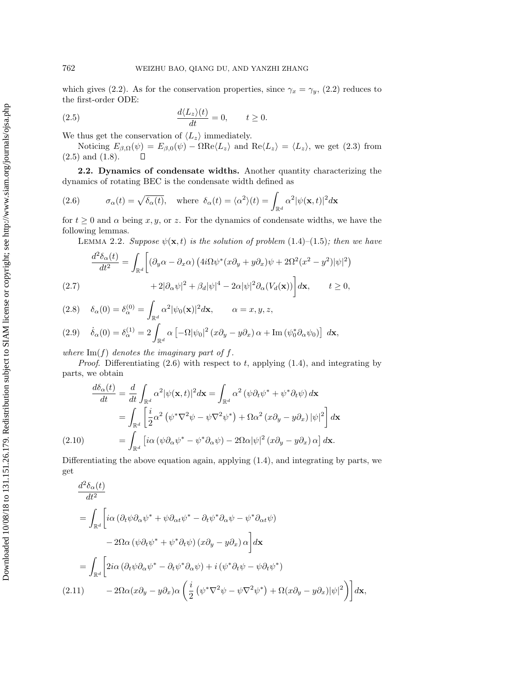which gives (2.2). As for the conservation properties, since  $\gamma_x = \gamma_y$ , (2.2) reduces to the first-order ODE:

(2.5) 
$$
\frac{d\langle L_z\rangle(t)}{dt} = 0, \qquad t \ge 0.
$$

We thus get the conservation of  $\langle L_z \rangle$  immediately.

Noticing  $E_{\beta,\Omega}(\psi) = E_{\beta,0}(\psi) - \Omega \text{Re}\langle L_z \rangle$  and  $\text{Re}\langle L_z \rangle = \langle L_z \rangle$ , we get (2.3) from and (1.8). (2.5) and (1.8).

**2.2. Dynamics of condensate widths.** Another quantity characterizing the dynamics of rotating BEC is the condensate width defined as

(2.6) 
$$
\sigma_{\alpha}(t) = \sqrt{\delta_{\alpha}(t)}, \text{ where } \delta_{\alpha}(t) = \langle \alpha^2 \rangle(t) = \int_{\mathbb{R}^d} \alpha^2 |\psi(\mathbf{x}, t)|^2 d\mathbf{x}
$$

for  $t \geq 0$  and  $\alpha$  being x, y, or z. For the dynamics of condensate widths, we have the following lemmas.

LEMMA 2.2. Suppose  $\psi(\mathbf{x},t)$  is the solution of problem (1.4)–(1.5); then we have

$$
\frac{d^2 \delta_{\alpha}(t)}{dt^2} = \int_{\mathbb{R}^d} \left[ (\partial_y \alpha - \partial_x \alpha) \left( 4i\Omega \psi^*(x\partial_y + y\partial_x)\psi + 2\Omega^2 (x^2 - y^2) |\psi|^2 \right) \right. \\
\left. + 2|\partial_\alpha \psi|^2 + \beta_d |\psi|^4 - 2\alpha |\psi|^2 \partial_\alpha (V_d(\mathbf{x})) \right] d\mathbf{x}, \qquad t \ge 0,
$$

(2.8) 
$$
\delta_{\alpha}(0) = \delta_{\alpha}^{(0)} = \int_{\mathbb{R}^d} \alpha^2 |\psi_0(\mathbf{x})|^2 d\mathbf{x}, \qquad \alpha = x, y, z,
$$
  
(2.9) 
$$
\dot{\delta}_{\alpha}(0) = \delta_{\alpha}^{(1)} = 2 \int_{\mathbb{R}^d} \alpha \left[ -\Omega |\psi_0|^2 (x \partial_y - y \partial_x) \alpha + \text{Im} (\psi_0^* \partial_\alpha \psi_0) \right] d\mathbf{x},
$$

where  $\text{Im}(f)$  denotes the imaginary part of f.

*Proof.* Differentiating  $(2.6)$  with respect to t, applying  $(1.4)$ , and integrating by parts, we obtain

$$
\frac{d\delta_{\alpha}(t)}{dt} = \frac{d}{dt} \int_{\mathbb{R}^{d}} \alpha^{2} |\psi(\mathbf{x},t)|^{2} d\mathbf{x} = \int_{\mathbb{R}^{d}} \alpha^{2} (\psi \partial_{t} \psi^{*} + \psi^{*} \partial_{t} \psi) d\mathbf{x}
$$

$$
= \int_{\mathbb{R}^{d}} \left[ \frac{i}{2} \alpha^{2} (\psi^{*} \nabla^{2} \psi - \psi \nabla^{2} \psi^{*}) + \Omega \alpha^{2} (x \partial_{y} - y \partial_{x}) |\psi|^{2} \right] d\mathbf{x}
$$

$$
(2.10) \qquad \qquad = \int_{\mathbb{R}^{d}} \left[ i \alpha (\psi \partial_{\alpha} \psi^{*} - \psi^{*} \partial_{\alpha} \psi) - 2\Omega \alpha |\psi|^{2} (x \partial_{y} - y \partial_{x}) \alpha \right] d\mathbf{x}.
$$

Differentiating the above equation again, applying (1.4), and integrating by parts, we get

$$
\frac{d^2 \delta_{\alpha}(t)}{dt^2}
$$
\n
$$
= \int_{\mathbb{R}^d} \left[ i\alpha \left( \partial_t \psi \partial_{\alpha} \psi^* + \psi \partial_{\alpha t} \psi^* - \partial_t \psi^* \partial_{\alpha} \psi - \psi^* \partial_{\alpha t} \psi \right) \right.
$$
\n
$$
- 2\Omega \alpha \left( \psi \partial_t \psi^* + \psi^* \partial_t \psi \right) \left( x \partial_y - y \partial_x \right) \alpha \right] d\mathbf{x}
$$
\n
$$
= \int_{\mathbb{R}^d} \left[ 2i\alpha \left( \partial_t \psi \partial_{\alpha} \psi^* - \partial_t \psi^* \partial_{\alpha} \psi \right) + i \left( \psi^* \partial_t \psi - \psi \partial_t \psi^* \right) \right.
$$
\n
$$
(2.11) \qquad - 2\Omega \alpha (x \partial_y - y \partial_x) \alpha \left( \frac{i}{2} \left( \psi^* \nabla^2 \psi - \psi \nabla^2 \psi^* \right) + \Omega (x \partial_y - y \partial_x) |\psi|^2 \right) \right] d\mathbf{x},
$$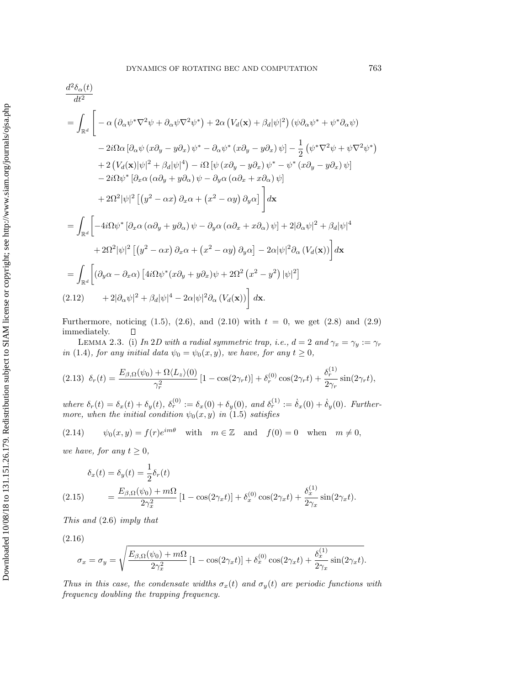$$
\frac{d^2\delta_{\alpha}(t)}{dt^2}
$$
\n
$$
= \int_{\mathbb{R}^d} \left[ -\alpha \left( \partial_{\alpha} \psi^* \nabla^2 \psi + \partial_{\alpha} \psi \nabla^2 \psi^* \right) + 2\alpha \left( V_d(\mathbf{x}) + \beta_d |\psi|^2 \right) \left( \psi \partial_{\alpha} \psi^* + \psi^* \partial_{\alpha} \psi \right) \right. \\
\left. - 2i\Omega \alpha \left[ \partial_{\alpha} \psi \left( x \partial_y - y \partial_x \right) \psi^* - \partial_{\alpha} \psi^* \left( x \partial_y - y \partial_x \right) \psi \right] - \frac{1}{2} \left( \psi^* \nabla^2 \psi + \psi \nabla^2 \psi^* \right) \right. \\
\left. + 2 \left( V_d(\mathbf{x}) |\psi|^2 + \beta_d |\psi|^4 \right) - i\Omega \left[ \psi \left( x \partial_y - y \partial_x \right) \psi^* - \psi^* \left( x \partial_y - y \partial_x \right) \psi \right] \right. \\
\left. - 2i\Omega \psi^* \left[ \partial_x \alpha \left( \alpha \partial_y + y \partial_\alpha \right) \psi - \partial_y \alpha \left( \alpha \partial_x + x \partial_\alpha \right) \psi \right] \right. \\
\left. + 2\Omega^2 |\psi|^2 \left[ \left( y^2 - \alpha x \right) \partial_x \alpha + \left( x^2 - \alpha y \right) \partial_y \alpha \right] \right] d\mathbf{x}
$$
\n
$$
= \int_{\mathbb{R}^d} \left[ -4i\Omega \psi^* \left[ \partial_x \alpha \left( \alpha \partial_y + y \partial_\alpha \right) \psi - \partial_y \alpha \left( \alpha \partial_x + x \partial_\alpha \right) \psi \right] + 2|\partial_\alpha \psi|^2 + \beta_d |\psi|^4 \right. \\
\left. + 2\Omega^2 |\psi|^2 \left[ \left( y^2 - \alpha x \right) \partial_x \alpha + \left( x^2 - \alpha y \right) \partial_y \alpha \right] - 2\alpha |\psi|^2 \partial_\alpha \left( V_d(\mathbf{x}) \right) \right] d\mathbf{x}
$$
\n
$$
= \int_{\mathbb{R}^d} \left[ (\partial_y \alpha - \partial_x \alpha) \left[ 4i\Omega \psi^* (x \partial_y + y \partial_x) \psi +
$$

Furthermore, noticing (1.5), (2.6), and (2.10) with  $t = 0$ , we get (2.8) and (2.9) immediately.  $\Box$ 

LEMMA 2.3. (i) In 2D with a radial symmetric trap, i.e.,  $d = 2$  and  $\gamma_x = \gamma_y := \gamma_r$ in (1.4), for any initial data  $\psi_0 = \psi_0(x, y)$ , we have, for any  $t \geq 0$ ,

$$
(2.13)\ \ \delta_r(t) = \frac{E_{\beta,\Omega}(\psi_0) + \Omega \langle L_z \rangle(0)}{\gamma_r^2} \left[1 - \cos(2\gamma_r t)\right] + \delta_r^{(0)} \cos(2\gamma_r t) + \frac{\delta_r^{(1)}}{2\gamma_r} \sin(2\gamma_r t),
$$

where  $\delta_r(t) = \delta_x(t) + \delta_y(t)$ ,  $\delta_r^{(0)} := \delta_x(0) + \delta_y(0)$ , and  $\delta_r^{(1)} := \dot{\delta}_x(0) + \dot{\delta}_y(0)$ . Furthermore, when the initial condition  $\psi_0(x, y)$  in (1.5) satisfies

(2.14) 
$$
\psi_0(x, y) = f(r)e^{im\theta} \quad \text{with} \quad m \in \mathbb{Z} \quad \text{and} \quad f(0) = 0 \quad \text{when} \quad m \neq 0,
$$

we have, for any  $t \geq 0$ ,

$$
\delta_x(t) = \delta_y(t) = \frac{1}{2}\delta_r(t)
$$
\n
$$
(2.15) \qquad = \frac{E_{\beta,\Omega}(\psi_0) + m\Omega}{2\gamma_x^2} \left[1 - \cos(2\gamma_x t)\right] + \delta_x^{(0)}\cos(2\gamma_x t) + \frac{\delta_x^{(1)}}{2\gamma_x}\sin(2\gamma_x t).
$$

This and (2.6) imply that

(2.16)

$$
\sigma_x = \sigma_y = \sqrt{\frac{E_{\beta,\Omega}(\psi_0) + m\Omega}{2\gamma_x^2} \left[1 - \cos(2\gamma_x t)\right] + \delta_x^{(0)}\cos(2\gamma_x t) + \frac{\delta_x^{(1)}}{2\gamma_x}\sin(2\gamma_x t)}.
$$

Thus in this case, the condensate widths  $\sigma_x(t)$  and  $\sigma_y(t)$  are periodic functions with frequency doubling the trapping frequency.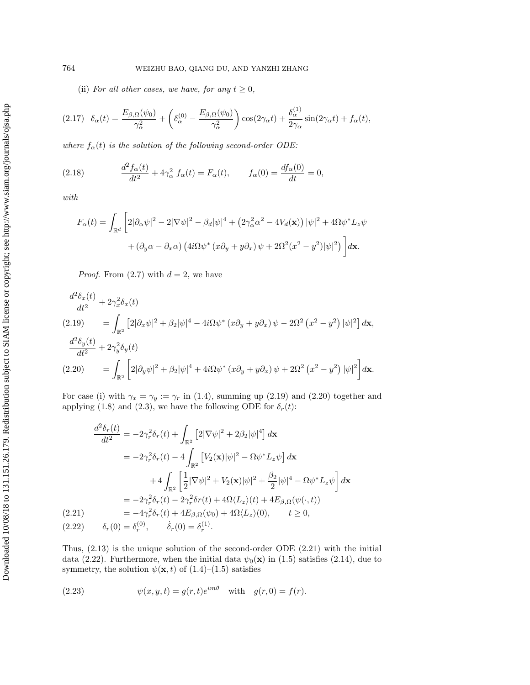(ii) For all other cases, we have, for any  $t \geq 0$ ,

$$
(2.17) \quad \delta_{\alpha}(t) = \frac{E_{\beta,\Omega}(\psi_0)}{\gamma_{\alpha}^2} + \left(\delta_{\alpha}^{(0)} - \frac{E_{\beta,\Omega}(\psi_0)}{\gamma_{\alpha}^2}\right) \cos(2\gamma_{\alpha}t) + \frac{\delta_{\alpha}^{(1)}}{2\gamma_{\alpha}}\sin(2\gamma_{\alpha}t) + f_{\alpha}(t),
$$

where  $f_{\alpha}(t)$  is the solution of the following second-order ODE:

(2.18) 
$$
\frac{d^2 f_{\alpha}(t)}{dt^2} + 4\gamma_{\alpha}^2 f_{\alpha}(t) = F_{\alpha}(t), \qquad f_{\alpha}(0) = \frac{df_{\alpha}(0)}{dt} = 0,
$$

with

$$
F_{\alpha}(t) = \int_{\mathbb{R}^d} \left[ 2|\partial_{\alpha}\psi|^2 - 2|\nabla\psi|^2 - \beta_d|\psi|^4 + \left(2\gamma_{\alpha}^2\alpha^2 - 4V_d(\mathbf{x})\right)|\psi|^2 + 4\Omega\psi^*L_z\psi
$$

$$
+ (\partial_y\alpha - \partial_x\alpha)\left(4i\Omega\psi^*\left(x\partial_y + y\partial_x\right)\psi + 2\Omega^2(x^2 - y^2)|\psi|^2\right) \right] d\mathbf{x}.
$$

*Proof.* From  $(2.7)$  with  $d = 2$ , we have

$$
\frac{d^2 \delta_x(t)}{dt^2} + 2\gamma_x^2 \delta_x(t)
$$
\n
$$
(2.19) \qquad = \int_{\mathbb{R}^2} \left[ 2|\partial_x \psi|^2 + \beta_2 |\psi|^4 - 4i\Omega \psi^* (x\partial_y + y\partial_x) \psi - 2\Omega^2 (x^2 - y^2) |\psi|^2 \right] dx,
$$
\n
$$
\frac{d^2 \delta_y(t)}{dt^2} + 2\gamma_y^2 \delta_y(t)
$$
\n
$$
(2.20) \qquad = \int_{\mathbb{R}^2} \left[ 2|\partial_y \psi|^2 + \beta_2 |\psi|^4 + 4i\Omega \psi^* (x\partial_y + y\partial_x) \psi + 2\Omega^2 (x^2 - y^2) |\psi|^2 \right] dx.
$$

For case (i) with  $\gamma_x = \gamma_y := \gamma_r$  in (1.4), summing up (2.19) and (2.20) together and applying (1.8) and (2.3), we have the following ODE for  $\delta_r(t)$ :

$$
\frac{d^2\delta_r(t)}{dt^2} = -2\gamma_r^2 \delta_r(t) + \int_{\mathbb{R}^2} \left[2|\nabla\psi|^2 + 2\beta_2|\psi|^4\right] d\mathbf{x}
$$
  
\n
$$
= -2\gamma_r^2 \delta_r(t) - 4 \int_{\mathbb{R}^2} \left[V_2(\mathbf{x})|\psi|^2 - \Omega\psi^* L_z \psi\right] d\mathbf{x}
$$
  
\n
$$
+ 4 \int_{\mathbb{R}^2} \left[\frac{1}{2}|\nabla\psi|^2 + V_2(\mathbf{x})|\psi|^2 + \frac{\beta_2}{2}|\psi|^4 - \Omega\psi^* L_z \psi\right] d\mathbf{x}
$$
  
\n
$$
= -2\gamma_r^2 \delta_r(t) - 2\gamma_r^2 \delta r(t) + 4\Omega \langle L_z \rangle(t) + 4E_{\beta,\Omega}(\psi(\cdot,t))
$$
  
\n(2.21)  
\n
$$
= -4\gamma_r^2 \delta_r(t) + 4E_{\beta,\Omega}(\psi_0) + 4\Omega \langle L_z \rangle(0), \qquad t \ge 0,
$$
  
\n(2.22)  
\n
$$
\delta_r(0) = \delta_r^{(0)}, \qquad \dot{\delta}_r(0) = \delta_r^{(1)}.
$$

Thus, (2.13) is the unique solution of the second-order ODE (2.21) with the initial data (2.22). Furthermore, when the initial data  $\psi_0(\mathbf{x})$  in (1.5) satisfies (2.14), due to symmetry, the solution  $\psi(\mathbf{x}, t)$  of (1.4)–(1.5) satisfies

(2.23) 
$$
\psi(x, y, t) = g(r, t)e^{im\theta} \text{ with } g(r, 0) = f(r).
$$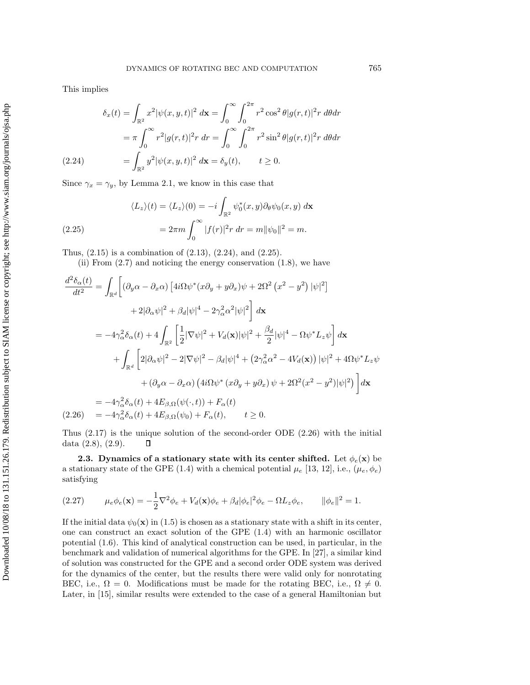This implies

Downloaded 10/08/18 to 131.151.26.179. Redistribution subject to SIAM license or copyright; see http://www.siam.org/journals/ojsa.php Downloaded 10/08/18 to 131.151.26.179. Redistribution subject to SIAM license or copyright; see http://www.siam.org/journals/ojsa.php

$$
\delta_x(t) = \int_{\mathbb{R}^2} x^2 |\psi(x, y, t)|^2 \, d\mathbf{x} = \int_0^\infty \int_0^{2\pi} r^2 \cos^2 \theta |g(r, t)|^2 r \, d\theta dr
$$

$$
= \pi \int_0^\infty r^2 |g(r, t)|^2 r \, dr = \int_0^\infty \int_0^{2\pi} r^2 \sin^2 \theta |g(r, t)|^2 r \, d\theta dr
$$

$$
(2.24) \qquad \qquad = \int_{\mathbb{R}^2} y^2 |\psi(x, y, t)|^2 \, d\mathbf{x} = \delta_y(t), \qquad t \ge 0.
$$

Since  $\gamma_x = \gamma_y$ , by Lemma 2.1, we know in this case that

(2.25)  
\n
$$
\langle L_z \rangle(t) = \langle L_z \rangle(0) = -i \int_{\mathbb{R}^2} \psi_0^*(x, y) \partial_\theta \psi_0(x, y) \, d\mathbf{x}
$$
\n
$$
= 2\pi m \int_0^\infty |f(r)|^2 r \, dr = m \|\psi_0\|^2 = m.
$$

Thus, (2.15) is a combination of (2.13), (2.24), and (2.25).

(ii) From (2.7) and noticing the energy conservation (1.8), we have

$$
\frac{d^2 \delta_{\alpha}(t)}{dt^2} = \int_{\mathbb{R}^d} \left[ (\partial_y \alpha - \partial_x \alpha) \left[ 4i\Omega \psi^*(x\partial_y + y\partial_x) \psi + 2\Omega^2 (x^2 - y^2) |\psi|^2 \right] \right. \\
\left. + 2|\partial_{\alpha}\psi|^2 + \beta_d |\psi|^4 - 2\gamma_{\alpha}^2 \alpha^2 |\psi|^2 \right] dx
$$
\n
$$
= -4\gamma_{\alpha}^2 \delta_{\alpha}(t) + 4 \int_{\mathbb{R}^2} \left[ \frac{1}{2} |\nabla \psi|^2 + V_d(\mathbf{x}) |\psi|^2 + \frac{\beta_d}{2} |\psi|^4 - \Omega \psi^* L_z \psi \right] d\mathbf{x}
$$
\n
$$
+ \int_{\mathbb{R}^d} \left[ 2|\partial_{\alpha}\psi|^2 - 2|\nabla \psi|^2 - \beta_d |\psi|^4 + (2\gamma_{\alpha}^2 \alpha^2 - 4V_d(\mathbf{x})) |\psi|^2 + 4\Omega \psi^* L_z \psi \right.
$$
\n
$$
+ (\partial_y \alpha - \partial_x \alpha) (4i\Omega \psi^* (x\partial_y + y\partial_x) \psi + 2\Omega^2 (x^2 - y^2) |\psi|^2) \Big] d\mathbf{x}
$$
\n
$$
= -4\gamma_{\alpha}^2 \delta_{\alpha}(t) + 4E_{\beta,\Omega} (\psi(\cdot, t)) + F_{\alpha}(t)
$$
\n
$$
(2.26) = -4\gamma_{\alpha}^2 \delta_{\alpha}(t) + 4E_{\beta,\Omega} (\psi_0) + F_{\alpha}(t), \qquad t \ge 0.
$$

Thus (2.17) is the unique solution of the second-order ODE (2.26) with the initial data (2.8), (2.9).  $\Box$ 

**2.3.** Dynamics of a stationary state with its center shifted. Let  $\phi_e(\mathbf{x})$  be a stationary state of the GPE (1.4) with a chemical potential  $\mu_e$  [13, 12], i.e.,  $(\mu_e, \phi_e)$ satisfying

(2.27) 
$$
\mu_e \phi_e(\mathbf{x}) = -\frac{1}{2} \nabla^2 \phi_e + V_d(\mathbf{x}) \phi_e + \beta_d |\phi_e|^2 \phi_e - \Omega L_z \phi_e, \qquad ||\phi_e||^2 = 1.
$$

If the initial data  $\psi_0(\mathbf{x})$  in (1.5) is chosen as a stationary state with a shift in its center, one can construct an exact solution of the GPE (1.4) with an harmonic oscillator potential (1.6). This kind of analytical construction can be used, in particular, in the benchmark and validation of numerical algorithms for the GPE. In [27], a similar kind of solution was constructed for the GPE and a second order ODE system was derived for the dynamics of the center, but the results there were valid only for nonrotating BEC, i.e.,  $\Omega = 0$ . Modifications must be made for the rotating BEC, i.e.,  $\Omega \neq 0$ . Later, in [15], similar results were extended to the case of a general Hamiltonian but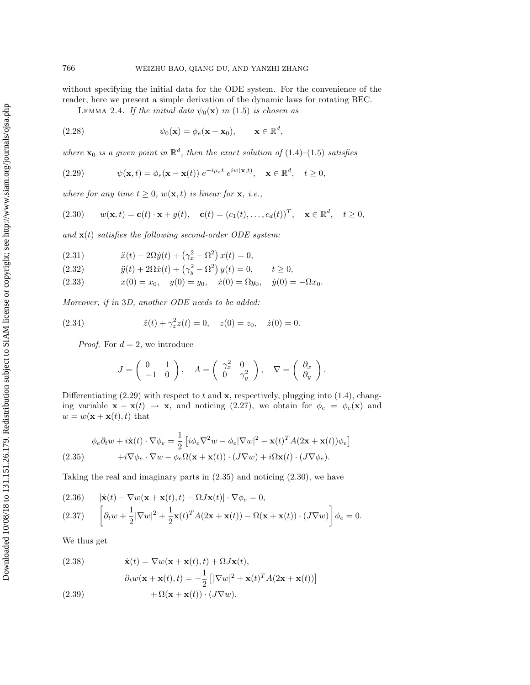without specifying the initial data for the ODE system. For the convenience of the reader, here we present a simple derivation of the dynamic laws for rotating BEC.

LEMMA 2.4. If the initial data  $\psi_0(\mathbf{x})$  in (1.5) is chosen as

(2.28) 
$$
\psi_0(\mathbf{x}) = \phi_e(\mathbf{x} - \mathbf{x}_0), \qquad \mathbf{x} \in \mathbb{R}^d,
$$

where  $\mathbf{x}_0$  is a given point in  $\mathbb{R}^d$ , then the exact solution of (1.4)–(1.5) satisfies

(2.29) 
$$
\psi(\mathbf{x},t) = \phi_e(\mathbf{x} - \mathbf{x}(t)) e^{-i\mu_e t} e^{iw(\mathbf{x},t)}, \quad \mathbf{x} \in \mathbb{R}^d, \quad t \ge 0,
$$

where for any time  $t \geq 0$ ,  $w(\mathbf{x}, t)$  is linear for **x**, i.e.,

(2.30) 
$$
w(\mathbf{x},t) = \mathbf{c}(t) \cdot \mathbf{x} + g(t), \quad \mathbf{c}(t) = (c_1(t), \dots, c_d(t))^T, \quad \mathbf{x} \in \mathbb{R}^d, \quad t \ge 0,
$$

and  $\mathbf{x}(t)$  satisfies the following second-order ODE system:

(2.31) 
$$
\ddot{x}(t) - 2\Omega \dot{y}(t) + (\gamma_x^2 - \Omega^2) x(t) = 0,
$$

(2.32) 
$$
\ddot{y}(t) + 2\Omega \dot{x}(t) + (\gamma_y^2 - \Omega^2) y(t) = 0, \qquad t \ge 0,
$$

(2.33)  $x(0) = x_0, \quad y(0) = y_0, \quad \dot{x}(0) = \Omega y_0, \quad \dot{y}(0) = -\Omega x_0.$ 

Moreover, if in 3D, another ODE needs to be added:

(2.34) 
$$
\ddot{z}(t) + \gamma_z^2 z(t) = 0, \quad z(0) = z_0, \quad \dot{z}(0) = 0.
$$

*Proof.* For  $d = 2$ , we introduce

$$
J = \begin{pmatrix} 0 & 1 \\ -1 & 0 \end{pmatrix}, \quad A = \begin{pmatrix} \gamma_x^2 & 0 \\ 0 & \gamma_y^2 \end{pmatrix}, \quad \nabla = \begin{pmatrix} \partial_x \\ \partial_y \end{pmatrix}.
$$

Differentiating  $(2.29)$  with respect to t and **x**, respectively, plugging into  $(1.4)$ , changing variable  $\mathbf{x} - \mathbf{x}(t) \rightarrow \mathbf{x}$ , and noticing (2.27), we obtain for  $\phi_e = \phi_e(\mathbf{x})$  and  $w = w(\mathbf{x} + \mathbf{x}(t), t)$  that

$$
\phi_e \partial_t w + i \dot{\mathbf{x}}(t) \cdot \nabla \phi_e = \frac{1}{2} \left[ i \phi_e \nabla^2 w - \phi_e |\nabla w|^2 - \mathbf{x}(t)^T A (2\mathbf{x} + \mathbf{x}(t)) \phi_e \right]
$$
  
(2.35) 
$$
+ i \nabla \phi_e \cdot \nabla w - \phi_e \Omega (\mathbf{x} + \mathbf{x}(t)) \cdot (J \nabla w) + i \Omega \mathbf{x}(t) \cdot (J \nabla \phi_e).
$$

Taking the real and imaginary parts in  $(2.35)$  and noticing  $(2.30)$ , we have

(2.36) 
$$
[\dot{\mathbf{x}}(t) - \nabla w(\mathbf{x} + \mathbf{x}(t), t) - \Omega J \mathbf{x}(t)] \cdot \nabla \phi_e = 0,
$$
  
(2.37) 
$$
\left[ \partial_t w + \frac{1}{2} |\nabla w|^2 + \frac{1}{2} \mathbf{x}(t)^T A(2\mathbf{x} + \mathbf{x}(t)) - \Omega(\mathbf{x} + \mathbf{x}(t)) \cdot (J \nabla w) \right] \phi_e = 0.
$$

We thus get

(2.38) 
$$
\dot{\mathbf{x}}(t) = \nabla w(\mathbf{x} + \mathbf{x}(t), t) + \Omega J \mathbf{x}(t),
$$

$$
\partial_t w(\mathbf{x} + \mathbf{x}(t), t) = -\frac{1}{2} \left[ |\nabla w|^2 + \mathbf{x}(t)^T A (2\mathbf{x} + \mathbf{x}(t)) \right]
$$

$$
(2.39) \qquad + \Omega(\mathbf{x} + \mathbf{x}(t)) \cdot (J \nabla w).
$$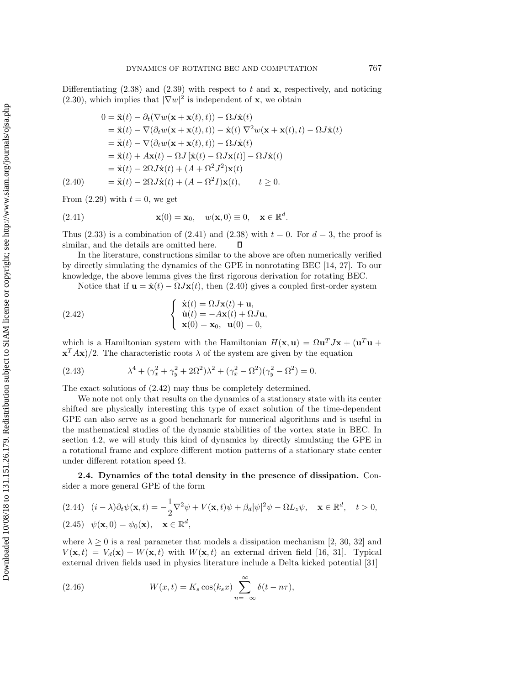Differentiating  $(2.38)$  and  $(2.39)$  with respect to t and **x**, respectively, and noticing  $(2.30)$ , which implies that  $|\nabla w|^2$  is independent of **x**, we obtain

$$
0 = \ddot{\mathbf{x}}(t) - \partial_t(\nabla w(\mathbf{x} + \mathbf{x}(t), t)) - \Omega J \dot{\mathbf{x}}(t)
$$
  
\n
$$
= \ddot{\mathbf{x}}(t) - \nabla(\partial_t w(\mathbf{x} + \mathbf{x}(t), t)) - \dot{\mathbf{x}}(t) \nabla^2 w(\mathbf{x} + \mathbf{x}(t), t) - \Omega J \dot{\mathbf{x}}(t)
$$
  
\n
$$
= \ddot{\mathbf{x}}(t) - \nabla(\partial_t w(\mathbf{x} + \mathbf{x}(t), t)) - \Omega J \dot{\mathbf{x}}(t)
$$
  
\n
$$
= \ddot{\mathbf{x}}(t) + A \mathbf{x}(t) - \Omega J [\dot{\mathbf{x}}(t) - \Omega J \mathbf{x}(t)] - \Omega J \dot{\mathbf{x}}(t)
$$
  
\n
$$
= \ddot{\mathbf{x}}(t) - 2\Omega J \dot{\mathbf{x}}(t) + (A + \Omega^2 J^2) \mathbf{x}(t)
$$
  
\n(2.40) 
$$
= \ddot{\mathbf{x}}(t) - 2\Omega J \dot{\mathbf{x}}(t) + (A - \Omega^2 I) \mathbf{x}(t), \qquad t \ge 0.
$$

From  $(2.29)$  with  $t = 0$ , we get

(2.41) 
$$
\mathbf{x}(0) = \mathbf{x}_0, \quad w(\mathbf{x}, 0) \equiv 0, \quad \mathbf{x} \in \mathbb{R}^d.
$$

Thus (2.33) is a combination of (2.41) and (2.38) with  $t = 0$ . For  $d = 3$ , the proof is similar, and the details are omitted here.  $\Box$ 

In the literature, constructions similar to the above are often numerically verified by directly simulating the dynamics of the GPE in nonrotating BEC [14, 27]. To our knowledge, the above lemma gives the first rigorous derivation for rotating BEC.

Notice that if  $\mathbf{u} = \dot{\mathbf{x}}(t) - \Omega J \mathbf{x}(t)$ , then (2.40) gives a coupled first-order system

(2.42) 
$$
\begin{cases} \dot{\mathbf{x}}(t) = \Omega J \mathbf{x}(t) + \mathbf{u}, \\ \dot{\mathbf{u}}(t) = -A \mathbf{x}(t) + \Omega J \mathbf{u}, \\ \mathbf{x}(0) = \mathbf{x}_0, \ \mathbf{u}(0) = 0, \end{cases}
$$

which is a Hamiltonian system with the Hamiltonian  $H(\mathbf{x}, \mathbf{u}) = \Omega \mathbf{u}^T J \mathbf{x} + (\mathbf{u}^T \mathbf{u} + \mathbf{u}^T J \mathbf{x})$  $\mathbf{x}^T A \mathbf{x}$ )/2. The characteristic roots  $\lambda$  of the system are given by the equation

(2.43) 
$$
\lambda^4 + (\gamma_x^2 + \gamma_y^2 + 2\Omega^2)\lambda^2 + (\gamma_x^2 - \Omega^2)(\gamma_y^2 - \Omega^2) = 0.
$$

The exact solutions of (2.42) may thus be completely determined.

We note not only that results on the dynamics of a stationary state with its center shifted are physically interesting this type of exact solution of the time-dependent GPE can also serve as a good benchmark for numerical algorithms and is useful in the mathematical studies of the dynamic stabilities of the vortex state in BEC. In section 4.2, we will study this kind of dynamics by directly simulating the GPE in a rotational frame and explore different motion patterns of a stationary state center under different rotation speed  $Ω$ .

**2.4. Dynamics of the total density in the presence of dissipation.** Consider a more general GPE of the form

(2.44) 
$$
(i - \lambda)\partial_t \psi(\mathbf{x}, t) = -\frac{1}{2}\nabla^2 \psi + V(\mathbf{x}, t)\psi + \beta_d |\psi|^2 \psi - \Omega L_z \psi, \quad \mathbf{x} \in \mathbb{R}^d, \quad t > 0,
$$
  
(2.45)  $\psi(\mathbf{x}, 0) = \psi_0(\mathbf{x}), \quad \mathbf{x} \in \mathbb{R}^d,$ 

where  $\lambda \geq 0$  is a real parameter that models a dissipation mechanism [2, 30, 32] and  $V(\mathbf{x}, t) = V_d(\mathbf{x}) + W(\mathbf{x}, t)$  with  $W(\mathbf{x}, t)$  an external driven field [16, 31]. Typical external driven fields used in physics literature include a Delta kicked potential [31]

(2.46) 
$$
W(x,t) = K_s \cos(k_s x) \sum_{n=-\infty}^{\infty} \delta(t - n\tau),
$$

Downloaded 10/08/18 to 131.151.26.179. Redistribution subject to SIAM license or copyright; see http://www.siam.org/journals/ojsa.php Downloaded 10/08/18 to 131.151.26.179. Redistribution subject to SIAM license or copyright; see http://www.siam.org/journals/ojsa.php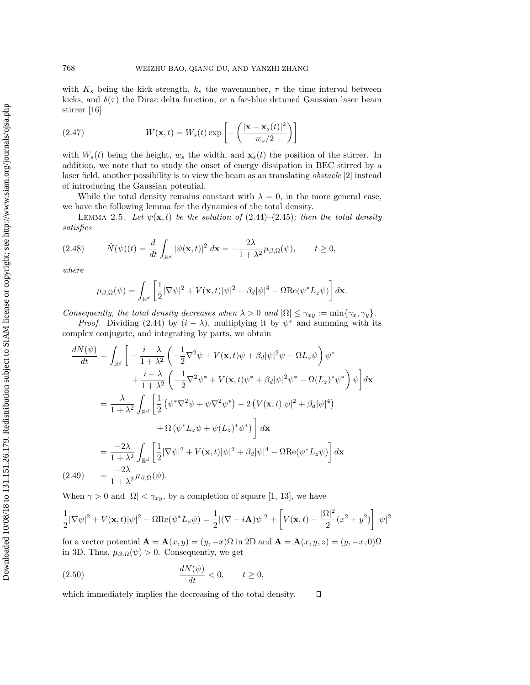with  $K_s$  being the kick strength,  $k_s$  the wavenumber,  $\tau$  the time interval between kicks, and  $\delta(\tau)$  the Dirac delta function, or a far-blue detuned Gaussian laser beam stirrer [16]

(2.47) 
$$
W(\mathbf{x},t) = W_s(t) \exp\left[-\left(\frac{|\mathbf{x} - \mathbf{x}_s(t)|^2}{w_s/2}\right)\right]
$$

with  $W_s(t)$  being the height,  $w_s$  the width, and  $\mathbf{x}_s(t)$  the position of the stirrer. In addition, we note that to study the onset of energy dissipation in BEC stirred by a laser field, another possibility is to view the beam as an translating *obstacle* [2] instead of introducing the Gaussian potential.

While the total density remains constant with  $\lambda = 0$ , in the more general case, we have the following lemma for the dynamics of the total density.

LEMMA 2.5. Let  $\psi(\mathbf{x},t)$  be the solution of (2.44)–(2.45); then the total density satisfies

$$
(2.48) \qquad \dot{N}(\psi)(t) = \frac{d}{dt} \int_{\mathbb{R}^d} |\psi(\mathbf{x}, t)|^2 \, d\mathbf{x} = -\frac{2\lambda}{1 + \lambda^2} \mu_{\beta, \Omega}(\psi), \qquad t \ge 0,
$$

where

$$
\mu_{\beta,\Omega}(\psi) = \int_{\mathbb{R}^d} \left[ \frac{1}{2} |\nabla \psi|^2 + V(\mathbf{x},t) |\psi|^2 + \beta_d |\psi|^4 - \Omega \text{Re}(\psi^* L_z \psi) \right] d\mathbf{x}.
$$

Consequently, the total density decreases when  $\lambda > 0$  and  $|\Omega| \leq \gamma_{xy} := \min{\gamma_x, \gamma_y}.$ 

*Proof.* Dividing (2.44) by  $(i - \lambda)$ , multiplying it by  $\psi^*$  and summing with its complex conjugate, and integrating by parts, we obtain

$$
\frac{dN(\psi)}{dt} = \int_{\mathbb{R}^d} \left[ -\frac{i + \lambda}{1 + \lambda^2} \left( -\frac{1}{2} \nabla^2 \psi + V(\mathbf{x}, t) \psi + \beta_d |\psi|^2 \psi - \Omega L_z \psi \right) \psi^* \right. \\
\left. + \frac{i - \lambda}{1 + \lambda^2} \left( -\frac{1}{2} \nabla^2 \psi^* + V(\mathbf{x}, t) \psi^* + \beta_d |\psi|^2 \psi^* - \Omega(L_z)^* \psi^* \right) \psi \right] d\mathbf{x}
$$
\n
$$
= \frac{\lambda}{1 + \lambda^2} \int_{\mathbb{R}^d} \left[ \frac{1}{2} \left( \psi^* \nabla^2 \psi + \psi \nabla^2 \psi^* \right) - 2 \left( V(\mathbf{x}, t) |\psi|^2 + \beta_d |\psi|^4 \right) \right. \\
\left. + \Omega \left( \psi^* L_z \psi + \psi(L_z)^* \psi^* \right) \right] d\mathbf{x}
$$
\n
$$
= \frac{-2\lambda}{1 + \lambda^2} \int_{\mathbb{R}^d} \left[ \frac{1}{2} |\nabla \psi|^2 + V(\mathbf{x}, t) |\psi|^2 + \beta_d |\psi|^4 - \Omega \text{Re}(\psi^* L_z \psi) \right] d\mathbf{x}
$$
\n
$$
(2.49) = \frac{-2\lambda}{1 + \lambda^2} \mu_{\beta, \Omega}(\psi).
$$

When  $\gamma > 0$  and  $|\Omega| < \gamma_{xy}$ , by a completion of square [1, 13], we have

$$
\frac{1}{2}|\nabla\psi|^2 + V(\mathbf{x},t)|\psi|^2 - \Omega \text{Re}(\psi^* L_z \psi) = \frac{1}{2}|(\nabla - i\mathbf{A})\psi|^2 + \left[V(\mathbf{x},t) - \frac{|\Omega|^2}{2}(x^2 + y^2)\right]|\psi|^2
$$

for a vector potential  $\mathbf{A} = \mathbf{A}(x, y) = (y, -x)\Omega$  in 2D and  $\mathbf{A} = \mathbf{A}(x, y, z) = (y, -x, 0)\Omega$ in 3D. Thus,  $\mu_{\beta,\Omega}(\psi) > 0$ . Consequently, we get

$$
\frac{dN(\psi)}{dt} < 0, \qquad t \ge 0,
$$

which immediately implies the decreasing of the total density.  $\Box$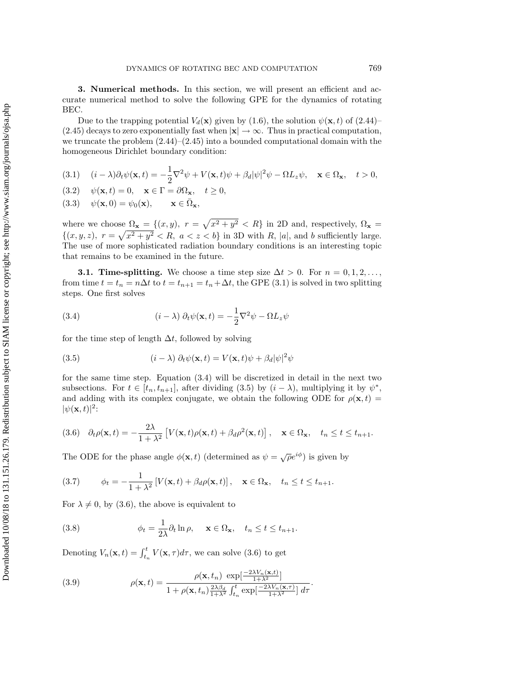**3. Numerical methods.** In this section, we will present an efficient and accurate numerical method to solve the following GPE for the dynamics of rotating BEC.

Due to the trapping potential  $V_d(\mathbf{x})$  given by (1.6), the solution  $\psi(\mathbf{x}, t)$  of (2.44)– (2.45) decays to zero exponentially fast when  $|\mathbf{x}| \to \infty$ . Thus in practical computation, we truncate the problem  $(2.44)$ – $(2.45)$  into a bounded computational domain with the homogeneous Dirichlet boundary condition:

(3.1) 
$$
(i - \lambda)\partial_t \psi(\mathbf{x}, t) = -\frac{1}{2}\nabla^2 \psi + V(\mathbf{x}, t)\psi + \beta_d |\psi|^2 \psi - \Omega L_z \psi, \quad \mathbf{x} \in \Omega_\mathbf{x}, \quad t > 0,
$$

$$
(3.2) \quad \psi(\mathbf{x}, t) = 0, \quad \mathbf{x} \in \Gamma = \partial \Omega_{\mathbf{x}}, \quad t \ge 0,
$$

(3.3) 
$$
\psi(\mathbf{x},0) = \psi_0(\mathbf{x}), \quad \mathbf{x} \in \bar{\Omega}_\mathbf{x},
$$

where we choose  $\Omega_{\mathbf{x}} = \{(x, y), r = \sqrt{x^2 + y^2} < R\}$  in 2D and, respectively,  $\Omega_{\mathbf{x}} =$  $\{(x, y, z), r = \sqrt{x^2 + y^2} < R, a < z < b\}$  in 3D with R, |a|, and b sufficiently large. The use of more sophisticated radiation boundary conditions is an interesting topic that remains to be examined in the future.

**3.1. Time-splitting.** We choose a time step size  $\Delta t > 0$ . For  $n = 0, 1, 2, \ldots$ , from time  $t = t_n = n\Delta t$  to  $t = t_{n+1} = t_n + \Delta t$ , the GPE (3.1) is solved in two splitting steps. One first solves

(3.4) 
$$
(i - \lambda) \partial_t \psi(\mathbf{x}, t) = -\frac{1}{2} \nabla^2 \psi - \Omega L_z \psi
$$

for the time step of length  $\Delta t$ , followed by solving

(3.5) 
$$
(i - \lambda) \partial_t \psi(\mathbf{x}, t) = V(\mathbf{x}, t)\psi + \beta_d |\psi|^2 \psi
$$

for the same time step. Equation (3.4) will be discretized in detail in the next two subsections. For  $t \in [t_n, t_{n+1}]$ , after dividing (3.5) by  $(i - \lambda)$ , multiplying it by  $\psi^*$ , and adding with its complex conjugate, we obtain the following ODE for  $\rho(\mathbf{x}, t)$  $|\psi(\mathbf{x},t)|^2$ :

$$
(3.6) \quad \partial_t \rho(\mathbf{x}, t) = -\frac{2\lambda}{1 + \lambda^2} \left[ V(\mathbf{x}, t) \rho(\mathbf{x}, t) + \beta_d \rho^2(\mathbf{x}, t) \right], \quad \mathbf{x} \in \Omega_\mathbf{x}, \quad t_n \le t \le t_{n+1}.
$$

The ODE for the phase angle  $\phi(\mathbf{x}, t)$  (determined as  $\psi = \sqrt{\rho}e^{i\phi}$ ) is given by

(3.7) 
$$
\phi_t = -\frac{1}{1+\lambda^2} \left[ V(\mathbf{x},t) + \beta_d \rho(\mathbf{x},t) \right], \quad \mathbf{x} \in \Omega_\mathbf{x}, \quad t_n \le t \le t_{n+1}.
$$

For  $\lambda \neq 0$ , by (3.6), the above is equivalent to

(3.8) 
$$
\phi_t = \frac{1}{2\lambda} \partial_t \ln \rho, \quad \mathbf{x} \in \Omega_\mathbf{x}, \quad t_n \leq t \leq t_{n+1}.
$$

Denoting  $V_n(\mathbf{x}, t) = \int_{t_n}^t V(\mathbf{x}, \tau) d\tau$ , we can solve (3.6) to get

(3.9) 
$$
\rho(\mathbf{x},t) = \frac{\rho(\mathbf{x},t_n) \exp\left[\frac{-2\lambda V_n(\mathbf{x},t)}{1+\lambda^2}\right]}{1+\rho(\mathbf{x},t_n)\frac{2\lambda\beta_d}{1+\lambda^2}\int_{t_n}^t \exp\left[\frac{-2\lambda V_n(\mathbf{x},\tau)}{1+\lambda^2}\right]d\tau}.
$$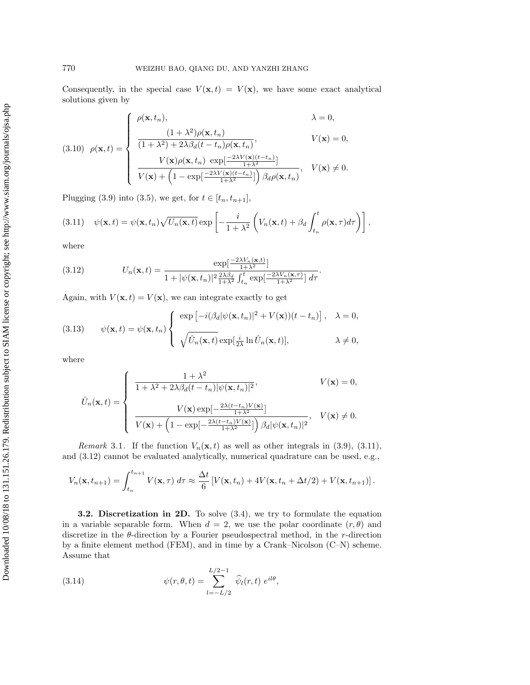Consequently, in the special case  $V(\mathbf{x}, t) = V(\mathbf{x})$ , we have some exact analytical solutions given by

(3.10) 
$$
\rho(\mathbf{x},t) = \begin{cases} \rho(\mathbf{x},t_n), & \lambda = 0, \\ \frac{(1+\lambda^2)\rho(\mathbf{x},t_n)}{(1+\lambda^2)+2\lambda\beta_d(t-t_n)\rho(\mathbf{x},t_n)}, & V(\mathbf{x}) = 0, \\ \frac{V(\mathbf{x})\rho(\mathbf{x},t_n) \exp[\frac{-2\lambda V(\mathbf{x})(t-t_n)}{1+\lambda^2}]}{V(\mathbf{x})+\left(1-\exp[\frac{-2\lambda V(\mathbf{x})(t-t_n)}{1+\lambda^2}]\right)\beta_d\rho(\mathbf{x},t_n)}, & V(\mathbf{x}) \neq 0. \end{cases}
$$

Plugging (3.9) into (3.5), we get, for  $t \in [t_n, t_{n+1}]$ ,

(3.11) 
$$
\psi(\mathbf{x},t) = \psi(\mathbf{x},t_n)\sqrt{U_n(\mathbf{x},t)} \exp\left[-\frac{i}{1+\lambda^2}\left(V_n(\mathbf{x},t) + \beta_d \int_{t_n}^t \rho(\mathbf{x},\tau)d\tau\right)\right],
$$

where

(3.12) 
$$
U_n(\mathbf{x},t) = \frac{\exp\left[\frac{-2\lambda V_n(\mathbf{x},t)}{1+\lambda^2}\right]}{1+|\psi(\mathbf{x},t_n)|^2 \frac{2\lambda\beta_d}{1+\lambda^2} \int_{t_n}^t \exp\left[\frac{-2\lambda V_n(\mathbf{x},\tau)}{1+\lambda^2}\right] d\tau}.
$$

Again, with  $V(\mathbf{x}, t) = V(\mathbf{x})$ , we can integrate exactly to get

(3.13) 
$$
\psi(\mathbf{x},t) = \psi(\mathbf{x},t_n) \begin{cases} \exp\left[-i(\beta_d|\psi(\mathbf{x},t_n)|^2 + V(\mathbf{x}))(t - t_n)\right], & \lambda = 0, \\ \sqrt{\hat{U}_n(\mathbf{x},t)} \exp[\frac{i}{2\lambda}\ln\hat{U}_n(\mathbf{x},t)], & \lambda \neq 0, \end{cases}
$$

where

$$
\hat{U}_n(\mathbf{x},t) = \begin{cases}\n\frac{1+\lambda^2}{1+\lambda^2+2\lambda\beta_d(t-t_n)|\psi(\mathbf{x},t_n)|^2}, & V(\mathbf{x}) = 0, \\
\frac{V(\mathbf{x})\exp[-\frac{2\lambda(t-t_n)V(\mathbf{x})}{1+\lambda^2}]}{V(\mathbf{x})+\left(1-\exp[-\frac{2\lambda(t-t_n)V(\mathbf{x})}{1+\lambda^2}]\right)\beta_d|\psi(\mathbf{x},t_n)|^2}, & V(\mathbf{x}) \neq 0.\n\end{cases}
$$

*Remark* 3.1. If the function  $V_n(\mathbf{x}, t)$  as well as other integrals in (3.9), (3.11), and (3.12) cannot be evaluated analytically, numerical quadrature can be used, e.g.,

$$
V_n(\mathbf{x}, t_{n+1}) = \int_{t_n}^{t_{n+1}} V(\mathbf{x}, \tau) d\tau \approx \frac{\Delta t}{6} \left[ V(\mathbf{x}, t_n) + 4V(\mathbf{x}, t_n + \Delta t/2) + V(\mathbf{x}, t_{n+1}) \right].
$$

**3.2. Discretization in 2D.** To solve (3.4), we try to formulate the equation in a variable separable form. When  $d = 2$ , we use the polar coordinate  $(r, \theta)$  and discretize in the  $\theta$ -direction by a Fourier pseudospectral method, in the r-direction by a finite element method (FEM), and in time by a Crank–Nicolson (C–N) scheme. Assume that

(3.14) 
$$
\psi(r, \theta, t) = \sum_{l=-L/2}^{L/2-1} \widehat{\psi}_l(r, t) e^{il\theta},
$$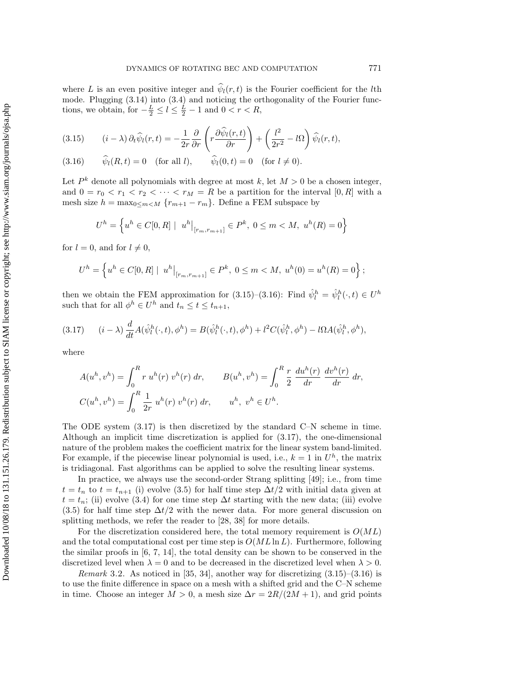where L is an even positive integer and  $\hat{\psi}_l(r,t)$  is the Fourier coefficient for the lth mode. Plugging (3.14) into (3.4) and noticing the orthogonality of the Fourier functions, we obtain, for  $-\frac{L}{2} \leq l \leq \frac{L}{2} - 1$  and  $0 < r < R$ ,

(3.15) 
$$
(i - \lambda) \partial_t \widehat{\psi}_l(r, t) = -\frac{1}{2r} \frac{\partial}{\partial r} \left( r \frac{\partial \widehat{\psi}_l(r, t)}{\partial r} \right) + \left( \frac{l^2}{2r^2} - l\Omega \right) \widehat{\psi}_l(r, t),
$$

(3.16)  $\widehat{\psi}_l(R, t) = 0$  (for all l),  $\widehat{\psi}_l(0, t) = 0$  (for  $l \neq 0$ ).

Let  $P^k$  denote all polynomials with degree at most k, let  $M > 0$  be a chosen integer, and  $0 = r_0 < r_1 < r_2 < \cdots < r_M = R$  be a partition for the interval  $[0, R]$  with a mesh size  $h = \max_{0 \le m \le M} \{r_{m+1} - r_m\}$ . Define a FEM subspace by

$$
U^h = \left\{ u^h \in C[0,R] \mid u^h|_{[r_m,r_{m+1}]} \in P^k, \ 0 \le m < M, \ u^h(R) = 0 \right\}
$$

for  $l = 0$ , and for  $l \neq 0$ ,

$$
U^h = \left\{ u^h \in C[0, R] \mid u^h|_{[r_m, r_{m+1}]} \in P^k, 0 \le m < M, u^h(0) = u^h(R) = 0 \right\};
$$

then we obtain the FEM approximation for (3.15)–(3.16): Find  $\hat{\psi}_l^h = \hat{\psi}_l^h(\cdot, t) \in U^h$ such that for all  $\phi^h \in U^h$  and  $t_n \leq t \leq t_{n+1}$ ,

$$
(3.17) \qquad (i - \lambda) \frac{d}{dt} A(\hat{\psi}_l^h(\cdot, t), \phi^h) = B(\hat{\psi}_l^h(\cdot, t), \phi^h) + l^2 C(\hat{\psi}_l^h, \phi^h) - l \Omega A(\hat{\psi}_l^h, \phi^h),
$$

where

$$
A(u^h, v^h) = \int_0^R r u^h(r) v^h(r) dr, \qquad B(u^h, v^h) = \int_0^R \frac{r}{2} \frac{du^h(r)}{dr} \frac{dv^h(r)}{dr} dr,
$$
  

$$
C(u^h, v^h) = \int_0^R \frac{1}{2r} u^h(r) v^h(r) dr, \qquad u^h, v^h \in U^h.
$$

The ODE system  $(3.17)$  is then discretized by the standard C–N scheme in time. Although an implicit time discretization is applied for (3.17), the one-dimensional nature of the problem makes the coefficient matrix for the linear system band-limited. For example, if the piecewise linear polynomial is used, i.e.,  $k = 1$  in  $U<sup>h</sup>$ , the matrix is tridiagonal. Fast algorithms can be applied to solve the resulting linear systems.

In practice, we always use the second-order Strang splitting [49]; i.e., from time  $t = t_n$  to  $t = t_{n+1}$  (i) evolve (3.5) for half time step  $\Delta t/2$  with initial data given at  $t = t_n$ ; (ii) evolve (3.4) for one time step  $\Delta t$  starting with the new data; (iii) evolve  $(3.5)$  for half time step  $\Delta t/2$  with the newer data. For more general discussion on splitting methods, we refer the reader to [28, 38] for more details.

For the discretization considered here, the total memory requirement is  $O(ML)$ and the total computational cost per time step is  $O(ML \ln L)$ . Furthermore, following the similar proofs in  $[6, 7, 14]$ , the total density can be shown to be conserved in the discretized level when  $\lambda = 0$  and to be decreased in the discretized level when  $\lambda > 0$ .

*Remark* 3.2. As noticed in [35, 34], another way for discretizing  $(3.15)$ – $(3.16)$  is to use the finite difference in space on a mesh with a shifted grid and the C–N scheme in time. Choose an integer  $M > 0$ , a mesh size  $\Delta r = 2R/(2M + 1)$ , and grid points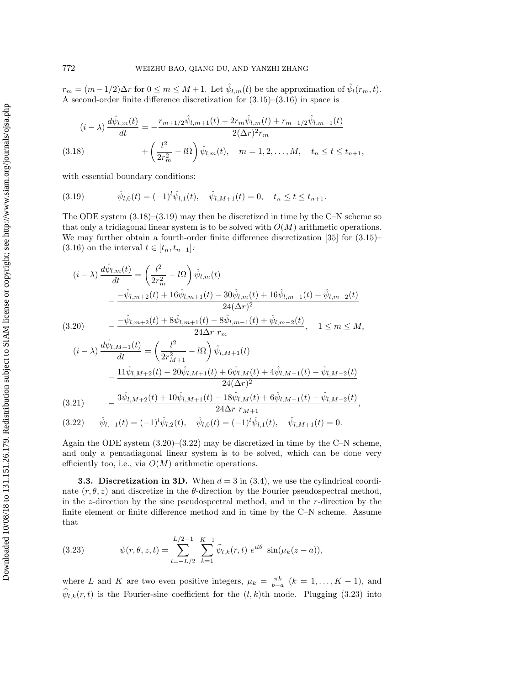$r_m = (m-1/2)\Delta r$  for  $0 \le m \le M+1$ . Let  $\hat{\psi}_{l,m}(t)$  be the approximation of  $\hat{\psi}_l(r_m, t)$ . A second-order finite difference discretization for (3.15)–(3.16) in space is

$$
(i - \lambda) \frac{d\hat{\psi}_{l,m}(t)}{dt} = -\frac{r_{m+1/2}\hat{\psi}_{l,m+1}(t) - 2r_m\hat{\psi}_{l,m}(t) + r_{m-1/2}\hat{\psi}_{l,m-1}(t)}{2(\Delta r)^2 r_m}
$$

(3.18) 
$$
+ \left(\frac{l^2}{2r_m^2} - l\Omega\right)\hat{\psi}_{l,m}(t), \quad m = 1, 2, ..., M, \quad t_n \le t \le t_{n+1},
$$

with essential boundary conditions:

(3.19) 
$$
\hat{\psi}_{l,0}(t) = (-1)^l \hat{\psi}_{l,1}(t), \quad \hat{\psi}_{l,M+1}(t) = 0, \quad t_n \le t \le t_{n+1}.
$$

The ODE system  $(3.18)$ – $(3.19)$  may then be discretized in time by the C–N scheme so that only a tridiagonal linear system is to be solved with  $O(M)$  arithmetic operations. We may further obtain a fourth-order finite difference discretization [35] for (3.15)– (3.16) on the interval  $t \in [t_n, t_{n+1}]$ :

$$
(i - \lambda) \frac{d\hat{\psi}_{l,m}(t)}{dt} = \left(\frac{l^2}{2r_m^2} - l\Omega\right) \hat{\psi}_{l,m}(t)
$$
  
 
$$
- \frac{-\hat{\psi}_{l,m+2}(t) + 16\hat{\psi}_{l,m+1}(t) - 30\hat{\psi}_{l,m}(t) + 16\hat{\psi}_{l,m-1}(t) - \hat{\psi}_{l,m-2}(t)}{24(\Delta r)^2}
$$
  
(3.20) 
$$
- \frac{-\hat{\psi}_{l,m+2}(t) + 8\hat{\psi}_{l,m+1}(t) - 8\hat{\psi}_{l,m-1}(t) + \hat{\psi}_{l,m-2}(t)}{24\Delta r r_m}, \quad 1 \leq m \leq M,
$$

$$
(i - \lambda) \frac{d\hat{\psi}_{l,M+1}(t)}{dt} = \left(\frac{l^2}{2r_{M+1}^2} - l\Omega\right) \hat{\psi}_{l,M+1}(t)
$$

$$
- \frac{11\hat{\psi}_{l,M+2}(t) - 20\hat{\psi}_{l,M+1}(t) + 6\hat{\psi}_{l,M}(t) + 4\hat{\psi}_{l,M-1}(t) - \hat{\psi}_{l,M-2}(t)}{24(\Delta r)^2}
$$

$$
- \frac{3\hat{\psi}_{l,M+1}(t) + 10\hat{\psi}_{l,M+1}(t) - 18\hat{\psi}_{l,M}(t) + 6\hat{\psi}_{l,M+1}(t) - \hat{\psi}_{l,M-1}(t)}{24(\Delta r)^2}
$$

$$
(3.21) \qquad -\frac{3\hat{\psi}_{l,M+2}(t) + 10\hat{\psi}_{l,M+1}(t) - 18\hat{\psi}_{l,M}(t) + 6\hat{\psi}_{l,M-1}(t) - \hat{\psi}_{l,M-2}(t)}{24\Delta r \ r_{M+1}},
$$

(3.22)  $\hat{\psi}_{l,-1}(t) = (-1)^l \hat{\psi}_{l,2}(t), \quad \hat{\psi}_{l,0}(t) = (-1)^l \hat{\psi}_{l,1}(t), \quad \hat{\psi}_{l,M+1}(t) = 0.$ 

Again the ODE system  $(3.20)$ – $(3.22)$  may be discretized in time by the C–N scheme, and only a pentadiagonal linear system is to be solved, which can be done very efficiently too, i.e., via  $O(M)$  arithmetic operations.

**3.3. Discretization in 3D.** When  $d = 3$  in (3.4), we use the cylindrical coordinate  $(r, \theta, z)$  and discretize in the  $\theta$ -direction by the Fourier pseudospectral method, in the z-direction by the sine pseudospectral method, and in the r-direction by the finite element or finite difference method and in time by the C–N scheme. Assume that

(3.23) 
$$
\psi(r,\theta,z,t) = \sum_{l=-L/2}^{L/2-1} \sum_{k=1}^{K-1} \widehat{\psi}_{l,k}(r,t) e^{il\theta} \sin(\mu_k(z-a)),
$$

where L and K are two even positive integers,  $\mu_k = \frac{\pi k}{b-a}$   $(k = 1, ..., K - 1)$ , and  $\widehat{\psi}_{l,k}(r,t)$  is the Fourier-sine coefficient for the  $(l,k)$ th mode. Plugging (3.23) into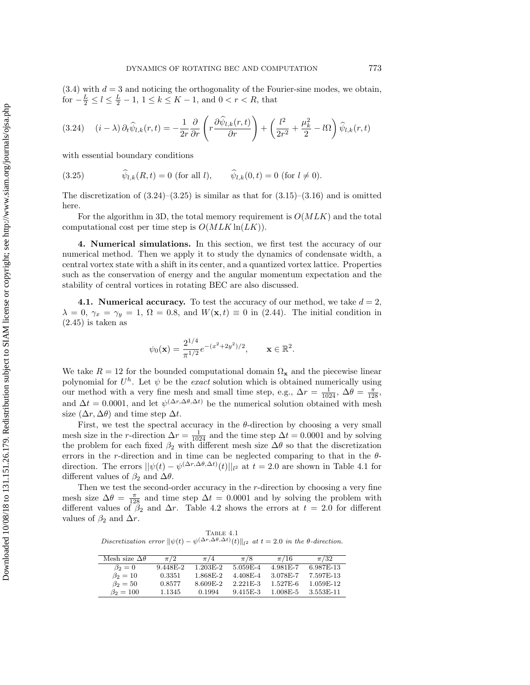$(3.4)$  with  $d = 3$  and noticing the orthogonality of the Fourier-sine modes, we obtain, for  $-\frac{L}{2} \le l \le \frac{L}{2} - 1$ ,  $1 \le k \le K - 1$ , and  $0 < r < R$ , that

$$
(3.24) \quad (i - \lambda) \,\partial_t \widehat{\psi}_{l,k}(r,t) = -\frac{1}{2r} \frac{\partial}{\partial r} \left( r \frac{\partial \widehat{\psi}_{l,k}(r,t)}{\partial r} \right) + \left( \frac{l^2}{2r^2} + \frac{\mu_k^2}{2} - l\Omega \right) \widehat{\psi}_{l,k}(r,t)
$$

with essential boundary conditions

(3.25) 
$$
\hat{\psi}_{l,k}(R,t) = 0 \text{ (for all } l), \qquad \hat{\psi}_{l,k}(0,t) = 0 \text{ (for } l \neq 0).
$$

The discretization of  $(3.24)$ – $(3.25)$  is similar as that for  $(3.15)$ – $(3.16)$  and is omitted here.

For the algorithm in 3D, the total memory requirement is  $O(MLK)$  and the total computational cost per time step is  $O(MLK \ln(LK))$ .

**4. Numerical simulations.** In this section, we first test the accuracy of our numerical method. Then we apply it to study the dynamics of condensate width, a central vortex state with a shift in its center, and a quantized vortex lattice. Properties such as the conservation of energy and the angular momentum expectation and the stability of central vortices in rotating BEC are also discussed.

**4.1. Numerical accuracy.** To test the accuracy of our method, we take  $d = 2$ ,  $\lambda = 0, \gamma_x = \gamma_y = 1, \Omega = 0.8, \text{ and } W(\mathbf{x}, t) \equiv 0 \text{ in } (2.44).$  The initial condition in  $(2.45)$  is taken as

$$
\psi_0(\mathbf{x}) = \frac{2^{1/4}}{\pi^{1/2}} e^{-(x^2+2y^2)/2}, \quad \mathbf{x} \in \mathbb{R}^2.
$$

We take  $R = 12$  for the bounded computational domain  $\Omega_{\mathbf{x}}$  and the piecewise linear polynomial for  $U^h$ . Let  $\psi$  be the *exact* solution which is obtained numerically using our method with a very fine mesh and small time step, e.g.,  $\Delta r = \frac{1}{1024}$ ,  $\Delta \theta = \frac{\pi}{128}$ , and  $\Delta t = 0.0001$ , and let  $\psi^{(\Delta r, \Delta \theta, \Delta t)}$  be the numerical solution obtained with mesh size  $(\Delta r, \Delta \theta)$  and time step  $\Delta t$ .

First, we test the spectral accuracy in the  $\theta$ -direction by choosing a very small mesh size in the r-direction  $\Delta r = \frac{1}{1024}$  and the time step  $\Delta t = 0.0001$  and by solving the problem for each fixed  $\beta_2$  with different mesh size  $\Delta\theta$  so that the discretization errors in the r-direction and in time can be neglected comparing to that in the  $\theta$ direction. The errors  $||\psi(t) - \psi^{(\Delta r, \Delta \theta, \Delta t)}(t)||_{l^2}$  at  $t = 2.0$  are shown in Table 4.1 for different values of  $\beta_2$  and  $\Delta\theta$ .

Then we test the second-order accuracy in the r-direction by choosing a very fine mesh size  $\Delta\theta = \frac{\pi}{128}$  and time step  $\Delta t = 0.0001$  and by solving the problem with different values of  $\beta_2$  and  $\Delta r$ . Table 4.2 shows the errors at  $t = 2.0$  for different values of  $\beta_2$  and  $\Delta r$ .

Table 4.1 Discretization error  $\|\psi(t) - \psi^{(\Delta r, \Delta \theta, \Delta t)}(t)\|_{l^2}$  at  $t = 2.0$  in the  $\theta$ -direction.

| Mesh size $\Delta\theta$ | $\pi/2$  | $\pi/4$    | $\pi/8$      | $\pi/16$  | $\pi/32$  |
|--------------------------|----------|------------|--------------|-----------|-----------|
| $\beta_2=0$              | 9.448E-2 | $1.203E-2$ | 5.059E-4     | 4.981 E-7 | 6.987E-13 |
| $\beta_2 = 10$           | 0.3351   | 1.868E-2   | 4.408E-4     | 3.078E-7  | 7.597E-13 |
| $\beta_2 = 50$           | 0.8577   | 8.609E-2   | $2.221F - 3$ | 1.527E-6  | 1.059E-12 |
| $\beta_2 = 100$          | 1.1345   | 0.1994     | $9.415E - 3$ | 1.008E-5  | 3.553E-11 |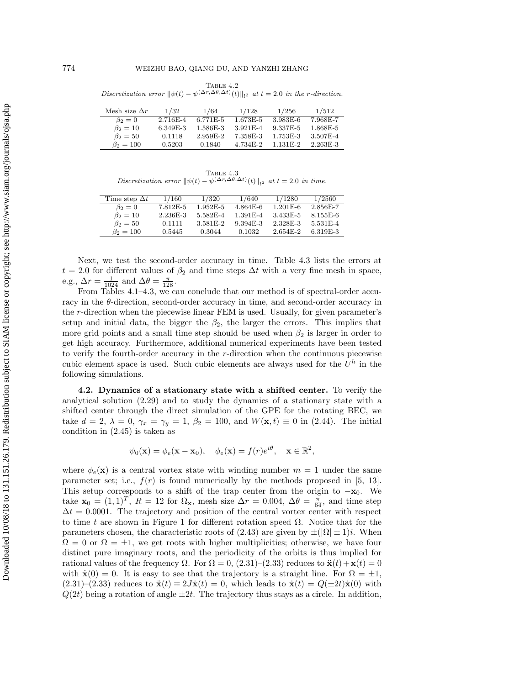TABLE 4.2 Discretization error  $\|\psi(t) - \psi^{(\Delta r, \Delta \theta, \Delta t)}(t)\|_{l^2}$  at  $t = 2.0$  in the r-direction.

| Mesh size $\Delta r$ | 1/32     | 1/64       | 1/128        | 1/256      | 1/512    |
|----------------------|----------|------------|--------------|------------|----------|
| $\beta_2=0$          | 2.716E-4 | $6.771E-5$ | 1.673E-5     | 3.983E-6   | 7.968E-7 |
| $\beta_2 = 10$       | 6.349E-3 | 1.586E-3   | $3.921E - 4$ | 9.337E-5   | 1.868E-5 |
| $\beta_2 = 50$       | 0.1118   | 2.959E-2   | 7.358E-3     | 1.753E-3   | 3.507E-4 |
| $\beta_2 = 100$      | 0.5203   | 0.1840     | 4.734E-2     | $1.131E-2$ | 2.263E-3 |

TABLE  $4.3$ Discretization error  $\|\psi(t) - \psi^{(\Delta r, \Delta \theta, \Delta t)}(t)\|_{l^2}$  at  $t = 2.0$  in time.

| Time step $\Delta t$ | 1/160    | 1/320      | 1/640     | 1/1280       | 1/2560    |
|----------------------|----------|------------|-----------|--------------|-----------|
| $\beta_2=0$          | 7.812E-5 | $1.952E-5$ | 4.864E-6  | $1.201E-6$   | 2.856E-7  |
| $\beta_2 = 10$       | 2.236E-3 | 5.582E-4   | 1.391 E-4 | 3.433E-5     | 8.155E-6  |
| $\beta_2 = 50$       | 0.1111   | 3.581 E-2  | 9.394E-3  | 2.328E-3     | 5.531 E-4 |
| $\beta_2 = 100$      | 0.5445   | 0.3044     | 0.1032    | $2.654E - 2$ | 6.319F-3  |

Next, we test the second-order accuracy in time. Table 4.3 lists the errors at  $t = 2.0$  for different values of  $\beta_2$  and time steps  $\Delta t$  with a very fine mesh in space, e.g.,  $\Delta r = \frac{1}{1024}$  and  $\Delta \theta = \frac{\pi}{128}$ .

From Tables 4.1–4.3, we can conclude that our method is of spectral-order accuracy in the  $\theta$ -direction, second-order accuracy in time, and second-order accuracy in the r-direction when the piecewise linear FEM is used. Usually, for given parameter's setup and initial data, the bigger the  $\beta_2$ , the larger the errors. This implies that more grid points and a small time step should be used when  $\beta_2$  is larger in order to get high accuracy. Furthermore, additional numerical experiments have been tested to verify the fourth-order accuracy in the r-direction when the continuous piecewise cubic element space is used. Such cubic elements are always used for the  $U^h$  in the following simulations.

**4.2. Dynamics of a stationary state with a shifted center.** To verify the analytical solution (2.29) and to study the dynamics of a stationary state with a shifted center through the direct simulation of the GPE for the rotating BEC, we take  $d = 2, \lambda = 0, \gamma_x = \gamma_y = 1, \beta_2 = 100, \text{ and } W(\mathbf{x}, t) \equiv 0 \text{ in } (2.44).$  The initial condition in (2.45) is taken as

 $\psi_0(\mathbf{x}) = \phi_e(\mathbf{x} - \mathbf{x}_0), \quad \phi_e(\mathbf{x}) = f(r)e^{i\theta}, \quad \mathbf{x} \in \mathbb{R}^2,$ 

where  $\phi_e(\mathbf{x})$  is a central vortex state with winding number  $m = 1$  under the same parameter set; i.e.,  $f(r)$  is found numerically by the methods proposed in [5, 13]. This setup corresponds to a shift of the trap center from the origin to  $-\mathbf{x}_0$ . We take  $\mathbf{x}_0 = (1, 1)^T$ ,  $R = 12$  for  $\Omega_{\mathbf{x}}$ , mesh size  $\Delta r = 0.004$ ,  $\Delta \theta = \frac{\pi}{64}$ , and time step  $\Delta t = 0.0001$ . The trajectory and position of the central vortex center with respect to time t are shown in Figure 1 for different rotation speed  $\Omega$ . Notice that for the parameters chosen, the characteristic roots of (2.43) are given by  $\pm(|\Omega| \pm 1)i$ . When  $\Omega = 0$  or  $\Omega = \pm 1$ , we get roots with higher multiplicities; otherwise, we have four distinct pure imaginary roots, and the periodicity of the orbits is thus implied for rational values of the frequency  $\Omega$ . For  $\Omega = 0$ ,  $(2.31)-(2.33)$  reduces to  $\ddot{\mathbf{x}}(t) + \mathbf{x}(t) = 0$ with  $\dot{\mathbf{x}}(0) = 0$ . It is easy to see that the trajectory is a straight line. For  $\Omega = \pm 1$ ,  $(2.31)$ – $(2.33)$  reduces to  $\ddot{\mathbf{x}}(t) \mp 2J\dot{\mathbf{x}}(t) = 0$ , which leads to  $\dot{\mathbf{x}}(t) = Q(\pm 2t)\dot{\mathbf{x}}(0)$  with  $Q(2t)$  being a rotation of angle  $\pm 2t$ . The trajectory thus stays as a circle. In addition,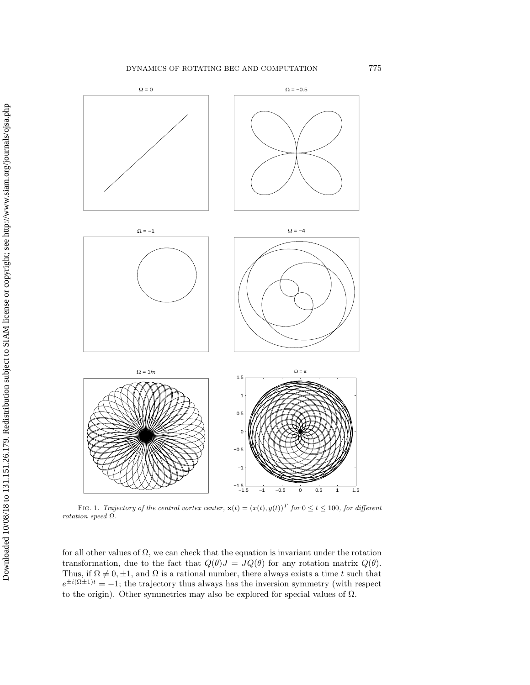#### DYNAMICS OF ROTATING BEC AND COMPUTATION 775



FIG. 1. Trajectory of the central vortex center,  $\mathbf{x}(t)=(x(t), y(t))^T$  for  $0 \le t \le 100$ , for different rotation speed Ω.

for all other values of  $\Omega$ , we can check that the equation is invariant under the rotation transformation, due to the fact that  $Q(\theta)J = JQ(\theta)$  for any rotation matrix  $Q(\theta)$ . Thus, if  $\Omega \neq 0, \pm 1$ , and  $\Omega$  is a rational number, there always exists a time t such that  $e^{\pm i(\Omega \pm 1)t} = -1$ ; the trajectory thus always has the inversion symmetry (with respect to the origin). Other symmetries may also be explored for special values of  $\Omega$ .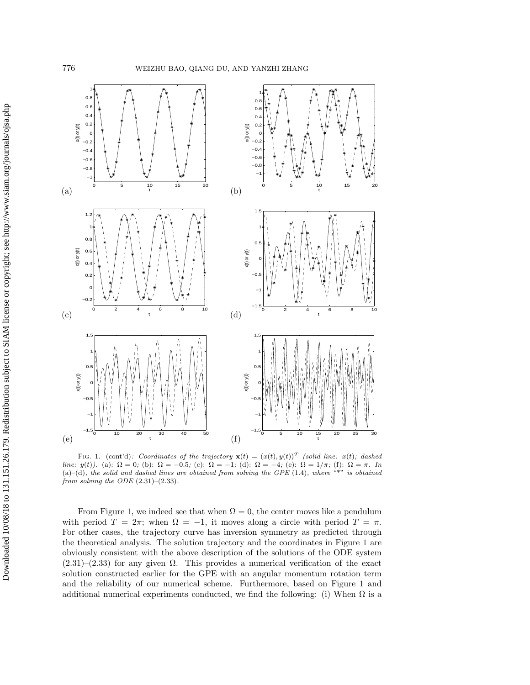

FIG. 1. (cont'd): Coordinates of the trajectory  $\mathbf{x}(t)=(x(t), y(t))^T$  (solid line:  $x(t)$ ; dashed line:  $y(t)$ ). (a):  $\Omega = 0$ ; (b):  $\Omega = -0.5$ ; (c):  $\Omega = -1$ ; (d):  $\Omega = -4$ ; (e):  $\Omega = 1/\pi$ ; (f):  $\Omega = \pi$ . In (a)–(d), the solid and dashed lines are obtained from solving the GPE (1.4), where "\*" is obtained from solving the ODE  $(2.31)$ – $(2.33)$ .

From Figure 1, we indeed see that when  $\Omega = 0$ , the center moves like a pendulum with period  $T = 2\pi$ ; when  $\Omega = -1$ , it moves along a circle with period  $T = \pi$ . For other cases, the trajectory curve has inversion symmetry as predicted through the theoretical analysis. The solution trajectory and the coordinates in Figure 1 are obviously consistent with the above description of the solutions of the ODE system  $(2.31)$ – $(2.33)$  for any given  $\Omega$ . This provides a numerical verification of the exact solution constructed earlier for the GPE with an angular momentum rotation term and the reliability of our numerical scheme. Furthermore, based on Figure 1 and additional numerical experiments conducted, we find the following: (i) When  $\Omega$  is a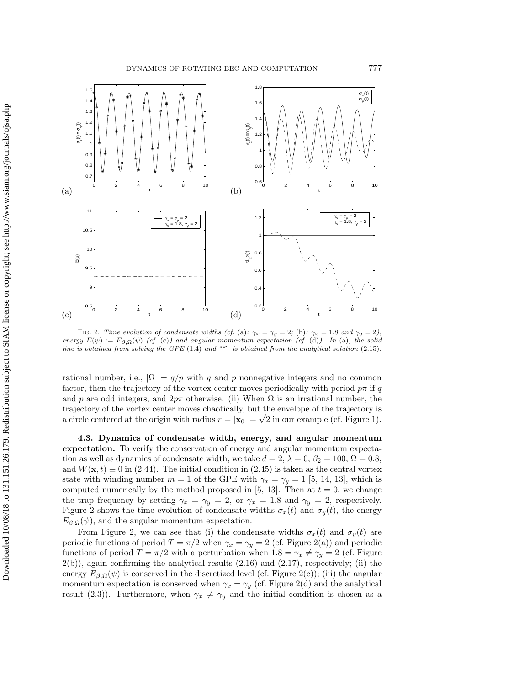

FIG. 2. Time evolution of condensate widths (cf. (a):  $\gamma_x = \gamma_y = 2$ ; (b):  $\gamma_x = 1.8$  and  $\gamma_y = 2$ ), energy  $E(\psi) := E_{\beta, \Omega}(\psi)$  (cf. (c)) and angular momentum expectation (cf. (d)). In (a), the solid line is obtained from solving the GPE  $(1.4)$  and  $H$ <sup> $\star$ </sup> is obtained from the analytical solution  $(2.15)$ .

rational number, i.e.,  $|\Omega| = q/p$  with q and p nonnegative integers and no common factor, then the trajectory of the vortex center moves periodically with period  $p\pi$  if q and p are odd integers, and  $2p\pi$  otherwise. (ii) When  $\Omega$  is an irrational number, the trajectory of the vortex center moves chaotically, but the envelope of the trajectory is a circle centered at the origin with radius  $r = |\mathbf{x}_0| = \sqrt{2}$  in our example (cf. Figure 1).

**4.3. Dynamics of condensate width, energy, and angular momentum expectation.** To verify the conservation of energy and angular momentum expectation as well as dynamics of condensate width, we take  $d = 2$ ,  $\lambda = 0$ ,  $\beta_2 = 100$ ,  $\Omega = 0.8$ , and  $W(\mathbf{x}, t) \equiv 0$  in (2.44). The initial condition in (2.45) is taken as the central vortex state with winding number  $m = 1$  of the GPE with  $\gamma_x = \gamma_y = 1$  [5, 14, 13], which is computed numerically by the method proposed in [5, 13]. Then at  $t = 0$ , we change the trap frequency by setting  $\gamma_x = \gamma_y = 2$ , or  $\gamma_x = 1.8$  and  $\gamma_y = 2$ , respectively. Figure 2 shows the time evolution of condensate widths  $\sigma_x(t)$  and  $\sigma_y(t)$ , the energy  $E_{\beta,\Omega}(\psi)$ , and the angular momentum expectation.

From Figure 2, we can see that (i) the condensate widths  $\sigma_x(t)$  and  $\sigma_y(t)$  are periodic functions of period  $T = \pi/2$  when  $\gamma_x = \gamma_y = 2$  (cf. Figure 2(a)) and periodic functions of period  $T = \pi/2$  with a perturbation when  $1.8 = \gamma_x \neq \gamma_y = 2$  (cf. Figure  $2(b)$ , again confirming the analytical results  $(2.16)$  and  $(2.17)$ , respectively; (ii) the energy  $E_{\beta,\Omega}(\psi)$  is conserved in the discretized level (cf. Figure 2(c)); (iii) the angular momentum expectation is conserved when  $\gamma_x = \gamma_y$  (cf. Figure 2(d) and the analytical result (2.3)). Furthermore, when  $\gamma_x \neq \gamma_y$  and the initial condition is chosen as a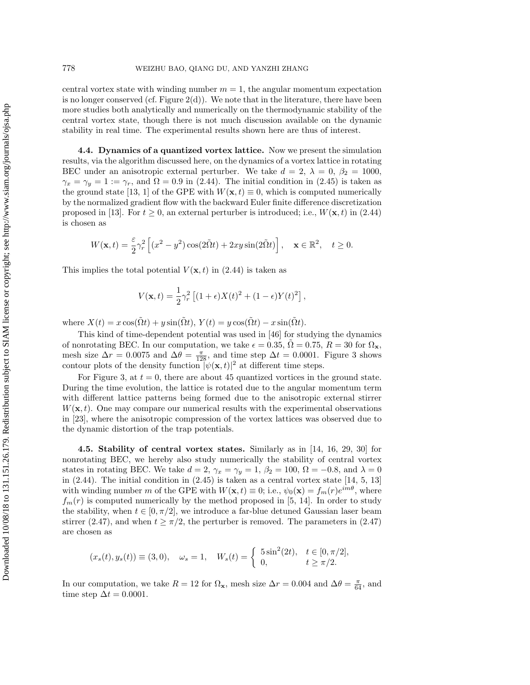central vortex state with winding number  $m = 1$ , the angular momentum expectation is no longer conserved (cf. Figure  $2(d)$ ). We note that in the literature, there have been more studies both analytically and numerically on the thermodynamic stability of the central vortex state, though there is not much discussion available on the dynamic stability in real time. The experimental results shown here are thus of interest.

**4.4. Dynamics of a quantized vortex lattice.** Now we present the simulation results, via the algorithm discussed here, on the dynamics of a vortex lattice in rotating BEC under an anisotropic external perturber. We take  $d = 2$ ,  $\lambda = 0$ ,  $\beta_2 = 1000$ ,  $\gamma_x = \gamma_y = 1 := \gamma_r$ , and  $\Omega = 0.9$  in (2.44). The initial condition in (2.45) is taken as the ground state [13, 1] of the GPE with  $W(\mathbf{x}, t) \equiv 0$ , which is computed numerically by the normalized gradient flow with the backward Euler finite difference discretization proposed in [13]. For  $t \geq 0$ , an external perturber is introduced; i.e.,  $W(\mathbf{x}, t)$  in (2.44) is chosen as

$$
W(\mathbf{x},t) = \frac{\varepsilon}{2}\gamma_r^2 \left[ (x^2 - y^2)\cos(2\tilde{\Omega}t) + 2xy\sin(2\tilde{\Omega}t) \right], \quad \mathbf{x} \in \mathbb{R}^2, \quad t \ge 0.
$$

This implies the total potential  $V(\mathbf{x}, t)$  in (2.44) is taken as

$$
V(\mathbf{x},t) = \frac{1}{2}\gamma_r^2 \left[ (1+\epsilon)X(t)^2 + (1-\epsilon)Y(t)^2 \right],
$$

where  $X(t) = x \cos(\tilde{\Omega} t) + y \sin(\tilde{\Omega} t)$ ,  $Y(t) = y \cos(\tilde{\Omega} t) - x \sin(\tilde{\Omega} t)$ .

This kind of time-dependent potential was used in [46] for studying the dynamics of nonrotating BEC. In our computation, we take  $\epsilon = 0.35$ ,  $\Omega = 0.75$ ,  $R = 30$  for  $\Omega_{\mathbf{x}}$ , mesh size  $\Delta r = 0.0075$  and  $\Delta \theta = \frac{\pi}{128}$ , and time step  $\Delta t = 0.0001$ . Figure 3 shows contour plots of the density function  $|\psi(\mathbf{x},t)|^2$  at different time steps.

For Figure 3, at  $t = 0$ , there are about 45 quantized vortices in the ground state. During the time evolution, the lattice is rotated due to the angular momentum term with different lattice patterns being formed due to the anisotropic external stirrer  $W(\mathbf{x}, t)$ . One may compare our numerical results with the experimental observations in [23], where the anisotropic compression of the vortex lattices was observed due to the dynamic distortion of the trap potentials.

**4.5. Stability of central vortex states.** Similarly as in [14, 16, 29, 30] for nonrotating BEC, we hereby also study numerically the stability of central vortex states in rotating BEC. We take  $d = 2$ ,  $\gamma_x = \gamma_y = 1$ ,  $\beta_2 = 100$ ,  $\Omega = -0.8$ , and  $\lambda = 0$ in  $(2.44)$ . The initial condition in  $(2.45)$  is taken as a central vortex state  $[14, 5, 13]$ with winding number m of the GPE with  $W(\mathbf{x}, t) \equiv 0$ ; i.e.,  $\psi_0(\mathbf{x}) = f_m(r)e^{im\theta}$ , where  $f_m(r)$  is computed numerically by the method proposed in [5, 14]. In order to study the stability, when  $t \in [0, \pi/2]$ , we introduce a far-blue detuned Gaussian laser beam stirrer (2.47), and when  $t \geq \pi/2$ , the perturber is removed. The parameters in (2.47) are chosen as

$$
(x_s(t), y_s(t)) \equiv (3, 0), \quad \omega_s = 1, \quad W_s(t) = \begin{cases} 5 \sin^2(2t), & t \in [0, \pi/2], \\ 0, & t \ge \pi/2. \end{cases}
$$

In our computation, we take  $R = 12$  for  $\Omega_x$ , mesh size  $\Delta r = 0.004$  and  $\Delta \theta = \frac{\pi}{64}$ , and time step  $\Delta t = 0.0001$ .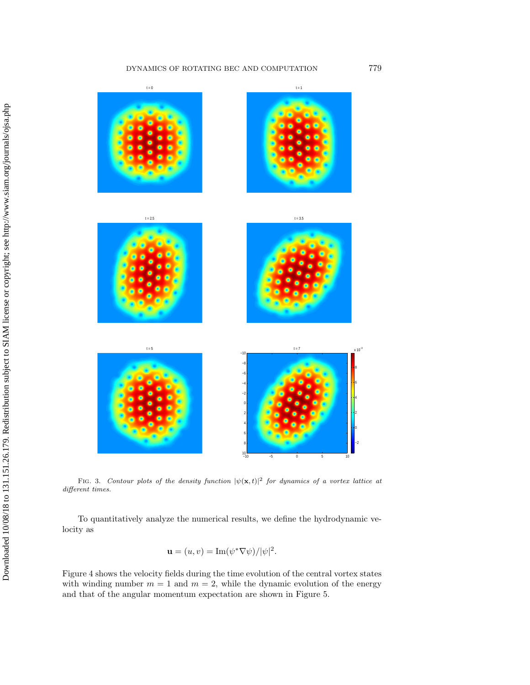#### DYNAMICS OF ROTATING BEC AND COMPUTATION 779



FIG. 3. Contour plots of the density function  $|\psi(\mathbf{x},t)|^2$  for dynamics of a vortex lattice at different times.

To quantitatively analyze the numerical results, we define the hydrodynamic velocity as

$$
\mathbf{u} = (u, v) = \mathrm{Im}(\psi^* \nabla \psi)/|\psi|^2.
$$

Figure 4 shows the velocity fields during the time evolution of the central vortex states with winding number  $m = 1$  and  $m = 2$ , while the dynamic evolution of the energy and that of the angular momentum expectation are shown in Figure 5.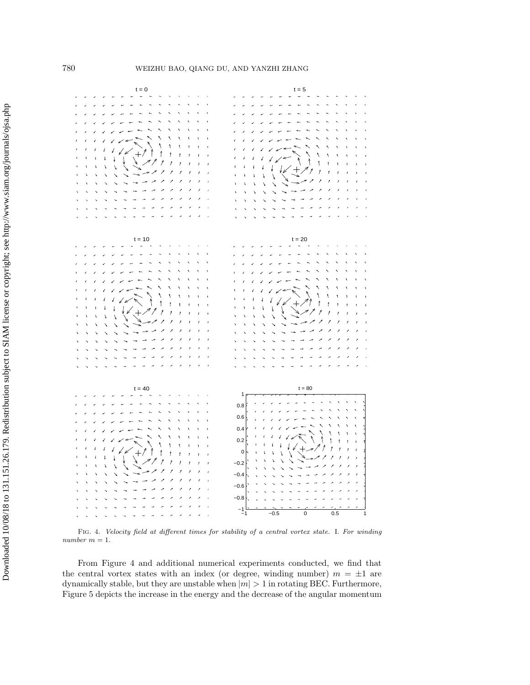

Fig. 4. Velocity field at different times for stability of a central vortex state. I. For winding  $\emph{number}$   $m=1.$ 

From Figure 4 and additional numerical experiments conducted, we find that the central vortex states with an index (or degree, winding number)  $m = \pm 1$  are dynamically stable, but they are unstable when  $|m| > 1$  in rotating BEC. Furthermore, Figure 5 depicts the increase in the energy and the decrease of the angular momentum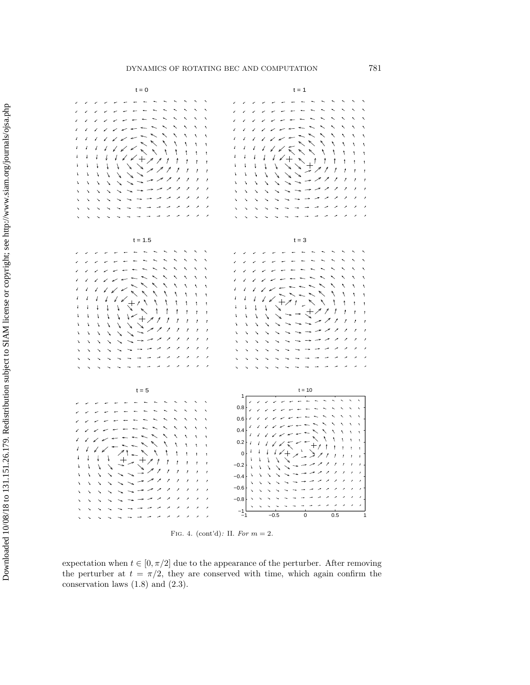

FIG. 4. (cont'd): II. For  $m = 2$ .

expectation when  $t \in [0, \pi/2]$  due to the appearance of the perturber. After removing the perturber at  $t = \pi/2$ , they are conserved with time, which again confirm the conservation laws (1.8) and (2.3).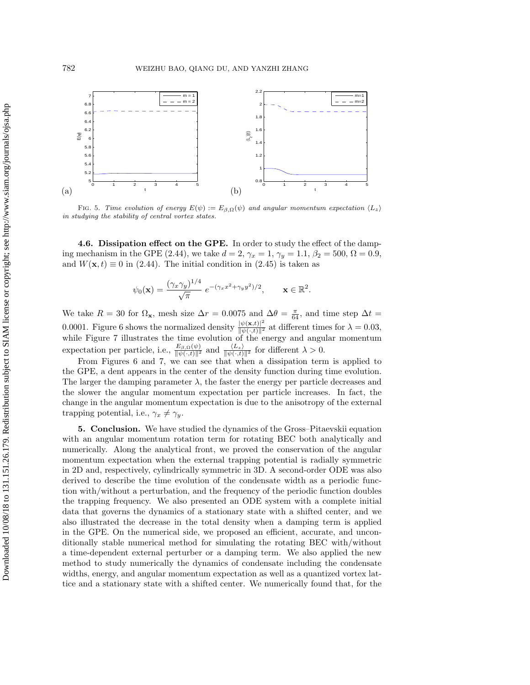

FIG. 5. Time evolution of energy  $E(\psi) := E_{\beta,\Omega}(\psi)$  and angular momentum expectation  $\langle L_z \rangle$ in studying the stability of central vortex states.

**4.6. Dissipation effect on the GPE.** In order to study the effect of the damping mechanism in the GPE (2.44), we take  $d = 2$ ,  $\gamma_x = 1$ ,  $\gamma_y = 1.1$ ,  $\beta_2 = 500$ ,  $\Omega = 0.9$ , and  $W(\mathbf{x}, t) \equiv 0$  in (2.44). The initial condition in (2.45) is taken as

$$
\psi_0(\mathbf{x}) = \frac{(\gamma_x \gamma_y)^{1/4}}{\sqrt{\pi}} e^{-(\gamma_x x^2 + \gamma_y y^2)/2}, \quad \mathbf{x} \in \mathbb{R}^2.
$$

We take  $R = 30$  for  $\Omega_x$ , mesh size  $\Delta r = 0.0075$  and  $\Delta \theta = \frac{\pi}{64}$ , and time step  $\Delta t =$ 0.0001. Figure 6 shows the normalized density  $\frac{|\psi(\mathbf{x},t)|^2}{\|\psi(\cdot,t)\|^2}$  at different times for  $\lambda = 0.03$ , while Figure 7 illustrates the time evolution of the energy and angular momentum expectation per particle, i.e.,  $\frac{E_{\beta,\Omega}(\psi)}{\|\psi(\cdot,t)\|^2}$  and  $\frac{\langle L_z \rangle}{\|\psi(\cdot,t)\|^2}$  for different  $\lambda > 0$ .

From Figures 6 and 7, we can see that when a dissipation term is applied to the GPE, a dent appears in the center of the density function during time evolution. The larger the damping parameter  $\lambda$ , the faster the energy per particle decreases and the slower the angular momentum expectation per particle increases. In fact, the change in the angular momentum expectation is due to the anisotropy of the external trapping potential, i.e.,  $\gamma_x \neq \gamma_y$ .

**5. Conclusion.** We have studied the dynamics of the Gross–Pitaevskii equation with an angular momentum rotation term for rotating BEC both analytically and numerically. Along the analytical front, we proved the conservation of the angular momentum expectation when the external trapping potential is radially symmetric in 2D and, respectively, cylindrically symmetric in 3D. A second-order ODE was also derived to describe the time evolution of the condensate width as a periodic function with/without a perturbation, and the frequency of the periodic function doubles the trapping frequency. We also presented an ODE system with a complete initial data that governs the dynamics of a stationary state with a shifted center, and we also illustrated the decrease in the total density when a damping term is applied in the GPE. On the numerical side, we proposed an efficient, accurate, and unconditionally stable numerical method for simulating the rotating BEC with/without a time-dependent external perturber or a damping term. We also applied the new method to study numerically the dynamics of condensate including the condensate widths, energy, and angular momentum expectation as well as a quantized vortex lattice and a stationary state with a shifted center. We numerically found that, for the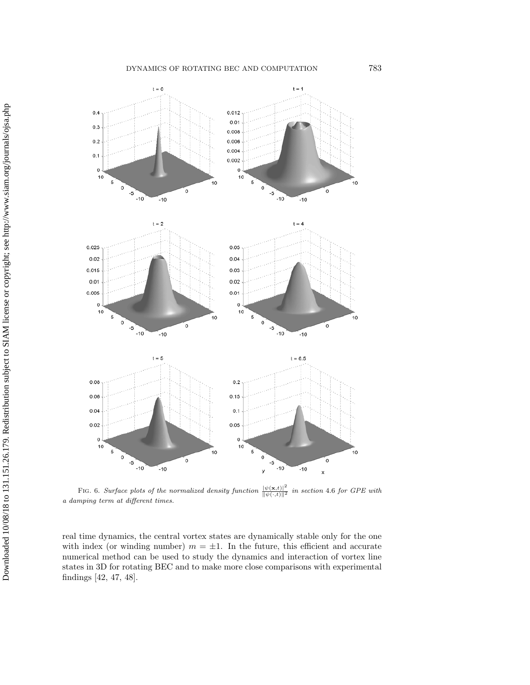#### DYNAMICS OF ROTATING BEC AND COMPUTATION 783



FIG. 6. Surface plots of the normalized density function  $\frac{|\psi(\mathbf{x},t)|^2}{\|\psi(\cdot,t)\|^2}$  in section 4.6 for GPE with a damping term at different times.

real time dynamics, the central vortex states are dynamically stable only for the one with index (or winding number)  $m = \pm 1$ . In the future, this efficient and accurate numerical method can be used to study the dynamics and interaction of vortex line states in 3D for rotating BEC and to make more close comparisons with experimental findings [42, 47, 48].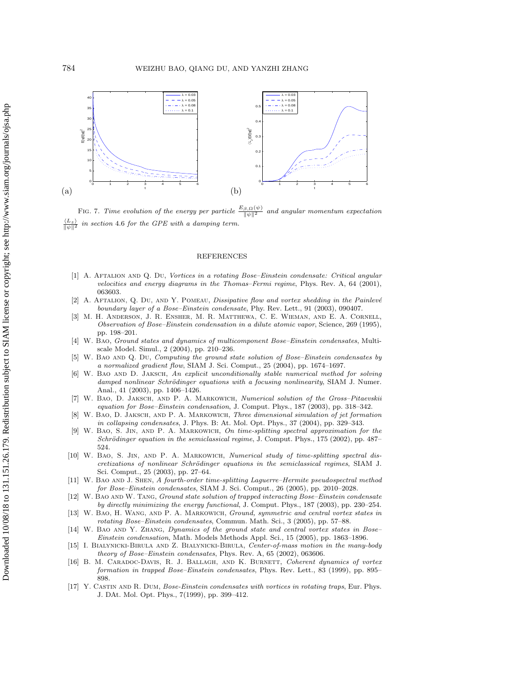

FIG. 7. Time evolution of the energy per particle  $\frac{E_{\beta,\Omega}(\psi)}{\|\psi\|^2}$ and angular momentum expectation  $\langle L_z \rangle$ in section 4.6 for the GPE with a damping term.

#### REFERENCES

- [1] A. Aftalion and Q. Du, Vortices in a rotating Bose–Einstein condensate: Critical angular velocities and energy diagrams in the Thomas–Fermi regime, Phys. Rev. A, 64 (2001), 063603.
- [2] A. AFTALION, Q. DU, AND Y. POMEAU, Dissipative flow and vortex shedding in the Painlevé boundary layer of a Bose–Einstein condensate, Phy. Rev. Lett., 91 (2003), 090407.
- [3] M. H. Anderson, J. R. Ensher, M. R. Matthewa, C. E. Wieman, and E. A. Cornell, Observation of Bose–Einstein condensation in a dilute atomic vapor, Science, 269 (1995), pp. 198–201.
- [4] W. Bao, Ground states and dynamics of multicomponent Bose–Einstein condensates, Multiscale Model. Simul., 2 (2004), pp. 210–236.
- W. BAO AND Q. DU, Computing the ground state solution of Bose–Einstein condensates by a normalized gradient flow, SIAM J. Sci. Comput., 25 (2004), pp. 1674–1697.
- W. BAO AND D. JAKSCH, An explicit unconditionally stable numerical method for solving damped nonlinear Schrödinger equations with a focusing nonlinearity, SIAM J. Numer. Anal., 41 (2003), pp. 1406–1426.
- [7] W. Bao, D. Jaksch, and P. A. Markowich, Numerical solution of the Gross–Pitaevskii equation for Bose–Einstein condensation, J. Comput. Phys., 187 (2003), pp. 318–342.
- [8] W. Bao, D. Jaksch, and P. A. Markowich, Three dimensional simulation of jet formation in collapsing condensates, J. Phys. B: At. Mol. Opt. Phys., 37 (2004), pp. 329–343.
- [9] W. Bao, S. Jin, and P. A. Markowich, On time-splitting spectral approximation for the Schrödinger equation in the semiclassical regime, J. Comput. Phys., 175 (2002), pp. 487– 524.
- [10] W. Bao, S. Jin, and P. A. Markowich, Numerical study of time-splitting spectral discretizations of nonlinear Schrödinger equations in the semiclassical regimes, SIAM J. Sci. Comput., 25 (2003), pp. 27–64.
- [11] W. Bao and J. Shen, A fourth-order time-splitting Laguerre–Hermite pseudospectral method for Bose–Einstein condensates, SIAM J. Sci. Comput., 26 (2005), pp. 2010–2028.
- [12] W. BAO AND W. TANG, Ground state solution of trapped interacting Bose–Einstein condensate by directly minimizing the energy functional, J. Comput. Phys., 187 (2003), pp. 230–254.
- [13] W. BAO, H. WANG, AND P. A. MARKOWICH, Ground, symmetric and central vortex states in rotating Bose–Einstein condensates, Commun. Math. Sci., 3 (2005), pp. 57–88.
- [14] W. BAO AND Y. ZHANG, Dynamics of the ground state and central vortex states in Bose-Einstein condensation, Math. Models Methods Appl. Sci., 15 (2005), pp. 1863–1896.
- [15] I. Bialynicki-Birula and Z. Bialynicki-Birula, Center-of-mass motion in the many-body theory of Bose–Einstein condensates, Phys. Rev. A, 65 (2002), 063606.
- [16] B. M. CARADOC-DAVIS, R. J. BALLAGH, AND K. BURNETT, Coherent dynamics of vortex formation in trapped Bose–Einstein condensates, Phys. Rev. Lett., 83 (1999), pp. 895– 898.
- [17] Y. Castin and R. Dum, Bose-Einstein condensates with vortices in rotating traps, Eur. Phys. J. DAt. Mol. Opt. Phys., 7(1999), pp. 399–412.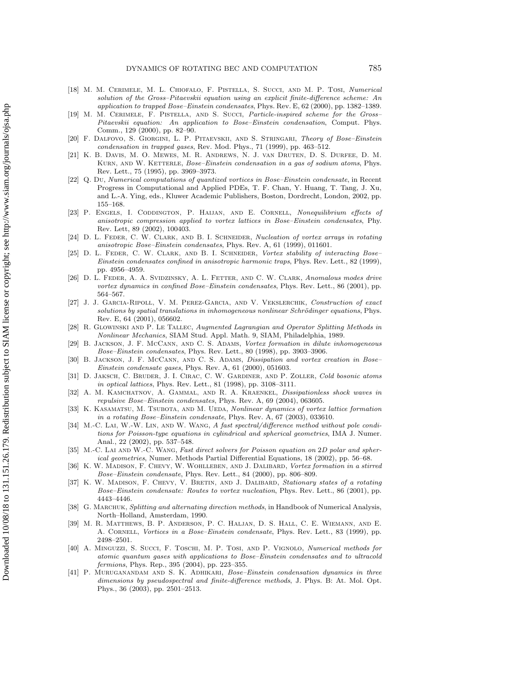- [18] M. M. Cerimele, M. L. Chiofalo, F. Pistella, S. Succi, and M. P. Tosi, Numerical solution of the Gross–Pitaevskii equation using an explicit finite-difference scheme: An application to trapped Bose–Einstein condensates, Phys. Rev. E, 62 (2000), pp. 1382–1389.
- [19] M. M. Cerimele, F. Pistella, and S. Succi, Particle-inspired scheme for the Gross– Pitaevskii equation: An application to Bose–Einstein condensation, Comput. Phys. Comm., 129 (2000), pp. 82–90.
- [20] F. Dalfovo, S. Giorgini, L. P. Pitaevskii, and S. Stringari, Theory of Bose–Einstein condensation in trapped gases, Rev. Mod. Phys., 71 (1999), pp. 463–512.
- [21] K. B. Davis, M. O. Mewes, M. R. Andrews, N. J. van Druten, D. S. Durfee, D. M. KURN, AND W. KETTERLE, Bose–Einstein condensation in a gas of sodium atoms, Phys. Rev. Lett., 75 (1995), pp. 3969–3973.
- [22] Q. Du, Numerical computations of quantized vortices in Bose–Einstein condensate, in Recent Progress in Computational and Applied PDEs, T. F. Chan, Y. Huang, T. Tang, J. Xu, and L.-A. Ying, eds., Kluwer Academic Publishers, Boston, Dordrecht, London, 2002, pp. 155–168.
- [23] P. ENGELS, I. CODDINGTON, P. HAIJAN, AND E. CORNELL, Nonequilibrium effects of anisotropic compression applied to vortex lattices in Bose–Einstein condensates, Phy. Rev. Lett, 89 (2002), 100403.
- [24] D. L. FEDER, C. W. CLARK, AND B. I. SCHNEIDER, Nucleation of vortex arrays in rotating anisotropic Bose–Einstein condensates, Phys. Rev. A, 61 (1999), 011601.
- [25] D. L. FEDER, C. W. CLARK, AND B. I. SCHNEIDER, Vortex stability of interacting Bose-Einstein condensates confined in anisotropic harmonic traps, Phys. Rev. Lett., 82 (1999), pp. 4956–4959.
- [26] D. L. Feder, A. A. Svidzinsky, A. L. Fetter, and C. W. Clark, Anomalous modes drive vortex dynamics in confined Bose–Einstein condensates, Phys. Rev. Lett., 86 (2001), pp. 564–567.
- [27] J. J. Garcia-Ripoll, V. M. Perez-Garcia, and V. Vekslerchik, Construction of exact solutions by spatial translations in inhomogeneous nonlinear Schrödinger equations, Phys. Rev. E, 64 (2001), 056602.
- [28] R. Glowinski and P. Le Tallec, Augmented Lagrangian and Operator Splitting Methods in Nonlinear Mechanics, SIAM Stud. Appl. Math. 9, SIAM, Philadelphia, 1989.
- [29] B. JACKSON, J. F. MCCANN, AND C. S. ADAMS, Vortex formation in dilute inhomogeneous Bose–Einstein condensates, Phys. Rev. Lett., 80 (1998), pp. 3903–3906.
- [30] B. JACKSON, J. F. MCCANN, AND C. S. ADAMS, *Dissipation and vortex creation in Bose* Einstein condensate gases, Phys. Rev. A, 61 (2000), 051603.
- [31] D. JAKSCH, C. BRUDER, J. I. CIRAC, C. W. GARDINER, AND P. ZOLLER, Cold bosonic atoms in optical lattices, Phys. Rev. Lett., 81 (1998), pp. 3108–3111.
- [32] A. M. Kamchatnov, A. Gammal, and R. A. Kraenkel, Dissipationless shock waves in repulsive Bose–Einstein condensates, Phys. Rev. A, 69 (2004), 063605.
- [33] K. KASAMATSU, M. TSUBOTA, AND M. UEDA, Nonlinear dynamics of vortex lattice formation in a rotating Bose–Einstein condensate, Phys. Rev. A, 67 (2003), 033610.
- [34] M.-C. Lai, W.-W. Lin, AND W. WANG, A fast spectral/difference method without pole conditions for Poisson-type equations in cylindrical and spherical geometries, IMA J. Numer. Anal., 22 (2002), pp. 537–548.
- [35] M.-C. Lai and W.-C. Wang, Fast direct solvers for Poisson equation on 2D polar and spherical geometries, Numer. Methods Partial Differential Equations, 18 (2002), pp. 56–68.
- [36] K. W. MADISON, F. CHEVY, W. WOHLLEBEN, AND J. DALIBARD, Vortex formation in a stirred Bose–Einstein condensate, Phys. Rev. Lett., 84 (2000), pp. 806–809.
- [37] K. W. MADISON, F. CHEVY, V. BRETIN, AND J. DALIBARD, Stationary states of a rotating Bose–Einstein condensate: Routes to vortex nucleation, Phys. Rev. Lett., 86 (2001), pp. 4443–4446.
- [38] G. MARCHUK, Splitting and alternating direction methods, in Handbook of Numerical Analysis, North–Holland, Amsterdam, 1990.
- [39] M. R. Matthews, B. P. Anderson, P. C. Haljan, D. S. Hall, C. E. Wiemann, and E. A. Cornell, Vortices in a Bose–Einstein condensate, Phys. Rev. Lett., 83 (1999), pp. 2498–2501.
- [40] A. Minguzzi, S. Succi, F. Toschi, M. P. Tosi, and P. Vignolo, Numerical methods for atomic quantum gases with applications to Bose–Einstein condensates and to ultracold fermions, Phys. Rep., 395 (2004), pp. 223-355.
- [41] P. Muruganandam and S. K. Adhikari, Bose–Einstein condensation dynamics in three dimensions by pseudospectral and finite-difference methods, J. Phys. B: At. Mol. Opt. Phys., 36 (2003), pp. 2501–2513.